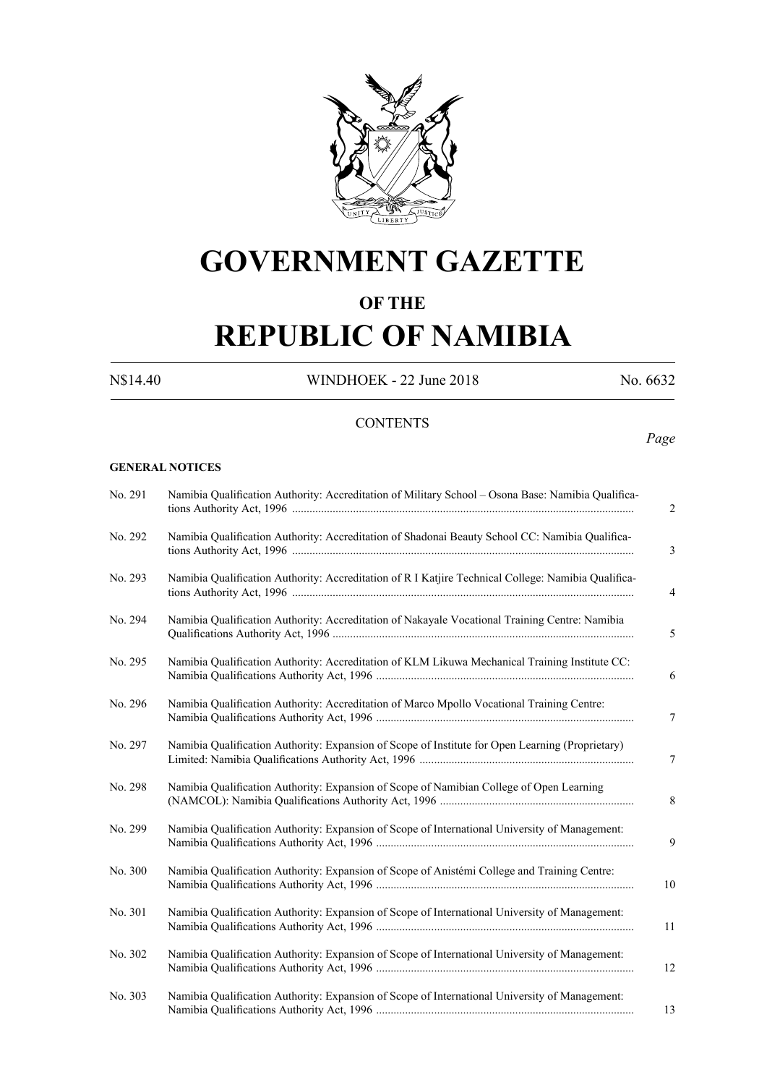

# **GOVERNMENT GAZETTE**

### **OF THE**

# **REPUBLIC OF NAMIBIA**

N\$14.40 WINDHOEK - 22 June 2018 No. 6632

#### **CONTENTS**

#### *Page*

#### **GENERAL NOTICES**

| No. 291 | Namibia Qualification Authority: Accreditation of Military School - Osona Base: Namibia Qualifica-  |
|---------|-----------------------------------------------------------------------------------------------------|
| No. 292 | Namibia Qualification Authority: Accreditation of Shadonai Beauty School CC: Namibia Qualifica-     |
| No. 293 | Namibia Qualification Authority: Accreditation of R I Katjire Technical College: Namibia Qualifica- |
| No. 294 | Namibia Qualification Authority: Accreditation of Nakayale Vocational Training Centre: Namibia      |
| No. 295 | Namibia Qualification Authority: Accreditation of KLM Likuwa Mechanical Training Institute CC:      |
| No. 296 | Namibia Qualification Authority: Accreditation of Marco Mpollo Vocational Training Centre:          |
| No. 297 | Namibia Qualification Authority: Expansion of Scope of Institute for Open Learning (Proprietary)    |
| No. 298 | Namibia Qualification Authority: Expansion of Scope of Namibian College of Open Learning            |
| No. 299 | Namibia Qualification Authority: Expansion of Scope of International University of Management:      |
| No. 300 | Namibia Qualification Authority: Expansion of Scope of Anistémi College and Training Centre:        |
| No. 301 | Namibia Qualification Authority: Expansion of Scope of International University of Management:      |
| No. 302 | Namibia Qualification Authority: Expansion of Scope of International University of Management:      |
| No. 303 | Namibia Qualification Authority: Expansion of Scope of International University of Management:      |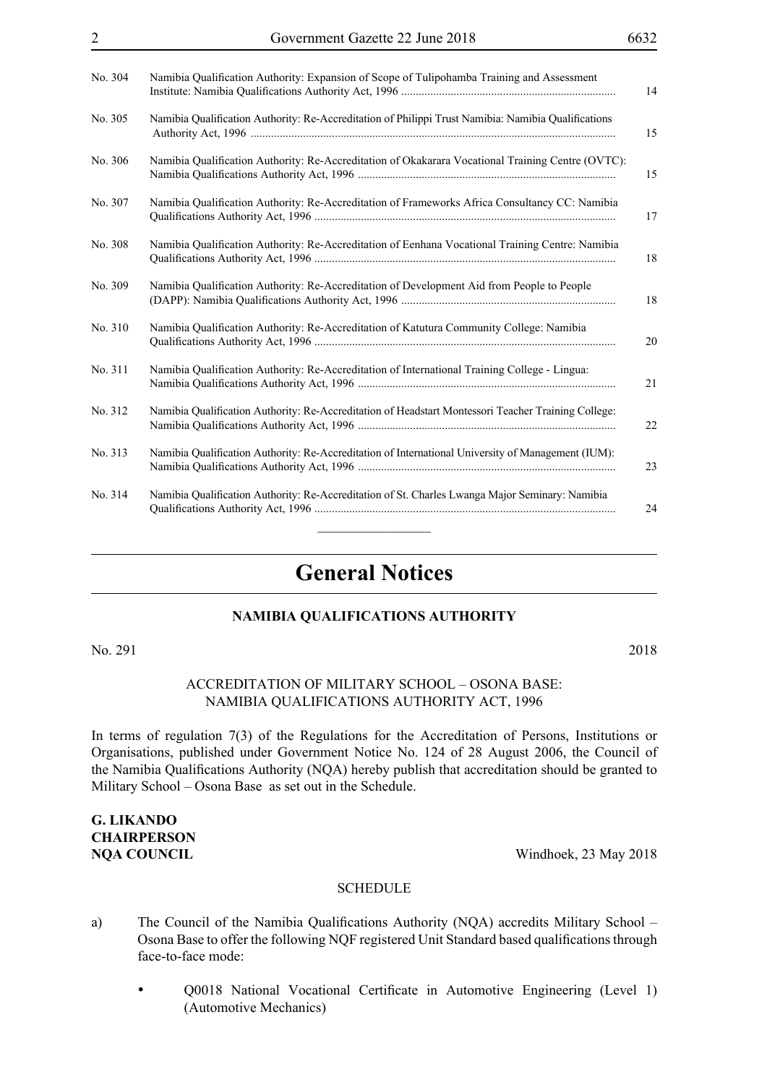| No. 304 | Namibia Qualification Authority: Expansion of Scope of Tulipohamba Training and Assessment<br>14          |
|---------|-----------------------------------------------------------------------------------------------------------|
| No. 305 | Namibia Qualification Authority: Re-Accreditation of Philippi Trust Namibia: Namibia Qualifications<br>15 |
| No. 306 | Namibia Qualification Authority: Re-Accreditation of Okakarara Vocational Training Centre (OVTC):<br>15   |
| No. 307 | Namibia Qualification Authority: Re-Accreditation of Frameworks Africa Consultancy CC: Namibia<br>17      |
| No. 308 | Namibia Qualification Authority: Re-Accreditation of Eenhana Vocational Training Centre: Namibia<br>18    |
| No. 309 | Namibia Qualification Authority: Re-Accreditation of Development Aid from People to People<br>18          |
| No. 310 | Namibia Qualification Authority: Re-Accreditation of Katutura Community College: Namibia<br>20            |
| No. 311 | Namibia Qualification Authority: Re-Accreditation of International Training College - Lingua:<br>21       |
| No. 312 | Namibia Qualification Authority: Re-Accreditation of Headstart Montessori Teacher Training College:<br>22 |
| No. 313 | Namibia Qualification Authority: Re-Accreditation of International University of Management (IUM):<br>23  |
| No. 314 | Namibia Qualification Authority: Re-Accreditation of St. Charles Lwanga Major Seminary: Namibia<br>24     |
|         |                                                                                                           |

### **General Notices**

#### **NAMIBIA QUALIFICATIONS AUTHORITY**

No. 291 2018

#### Accreditation of Military School – Osona Base: Namibia Qualifications Authority Act, 1996

In terms of regulation 7(3) of the Regulations for the Accreditation of Persons, Institutions or Organisations, published under Government Notice No. 124 of 28 August 2006, the Council of the Namibia Qualifications Authority (NQA) hereby publish that accreditation should be granted to Military School – Osona Base as set out in the Schedule.

### **G. Likando Chairperson**

**NQA COUNCIL** Windhoek, 23 May 2018

- a) The Council of the Namibia Qualifications Authority (NQA) accredits Military School Osona Base to offer the following NQF registered Unit Standard based qualifications through face-to-face mode:
	- • Q0018 National Vocational Certificate in Automotive Engineering (Level 1) (Automotive Mechanics)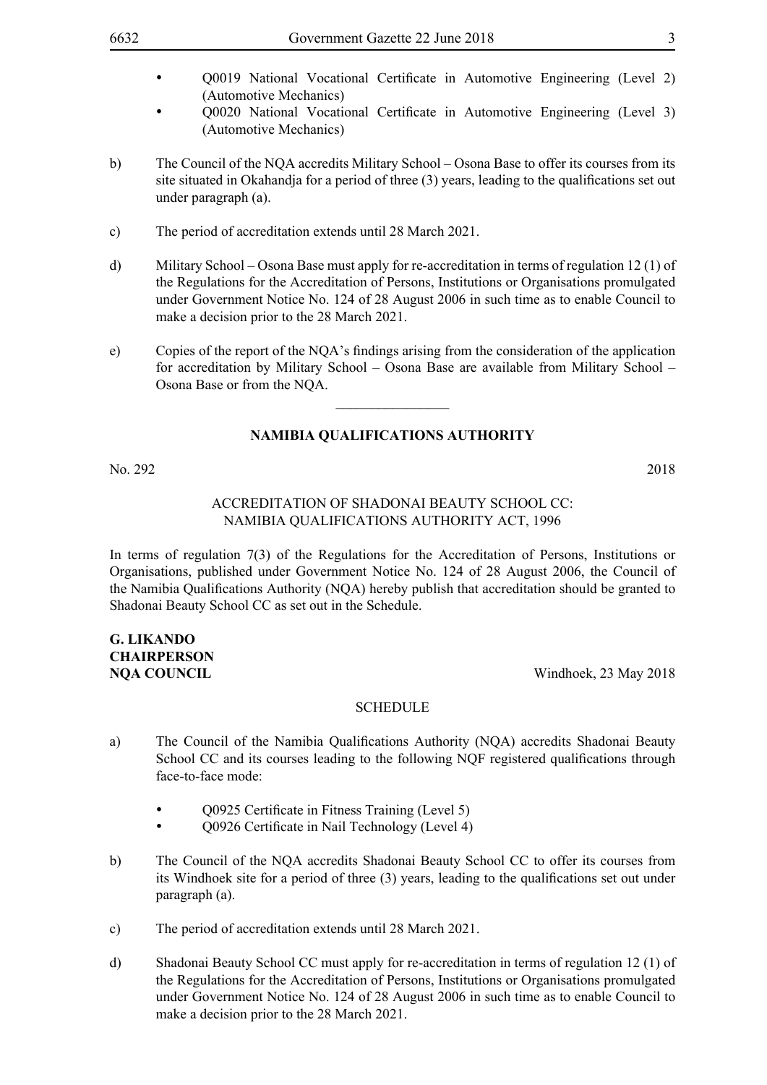- O0019 National Vocational Certificate in Automotive Engineering (Level 2) (Automotive Mechanics)
- • Q0020 National Vocational Certificate in Automotive Engineering (Level 3) (Automotive Mechanics)
- b) The Council of the NQA accredits Military School Osona Base to offer its courses from its site situated in Okahandja for a period of three (3) years, leading to the qualifications set out under paragraph (a).
- c) The period of accreditation extends until 28 March 2021.
- d) Military School Osona Base must apply for re-accreditation in terms of regulation 12 (1) of the Regulations for the Accreditation of Persons, Institutions or Organisations promulgated under Government Notice No. 124 of 28 August 2006 in such time as to enable Council to make a decision prior to the 28 March 2021.
- e) Copies of the report of the NQA's findings arising from the consideration of the application for accreditation by Military School – Osona Base are available from Military School – Osona Base or from the NQA.

 $\frac{1}{2}$ 

No. 292 2018

#### Accreditation of Shadonai Beauty School CC: Namibia Qualifications Authority Act, 1996

In terms of regulation 7(3) of the Regulations for the Accreditation of Persons, Institutions or Organisations, published under Government Notice No. 124 of 28 August 2006, the Council of the Namibia Qualifications Authority (NQA) hereby publish that accreditation should be granted to Shadonai Beauty School CC as set out in the Schedule.

### **G. Likando Chairperson**

**NQA COUNCIL** Windhoek, 23 May 2018

- a) The Council of the Namibia Qualifications Authority (NQA) accredits Shadonai Beauty School CC and its courses leading to the following NQF registered qualifications through face-to-face mode:
	- Q0925 Certificate in Fitness Training (Level 5)
	- O0926 Certificate in Nail Technology (Level 4)
- b) The Council of the NQA accredits Shadonai Beauty School CC to offer its courses from its Windhoek site for a period of three (3) years, leading to the qualifications set out under paragraph (a).
- c) The period of accreditation extends until 28 March 2021.
- d) Shadonai Beauty School CC must apply for re-accreditation in terms of regulation 12 (1) of the Regulations for the Accreditation of Persons, Institutions or Organisations promulgated under Government Notice No. 124 of 28 August 2006 in such time as to enable Council to make a decision prior to the 28 March 2021.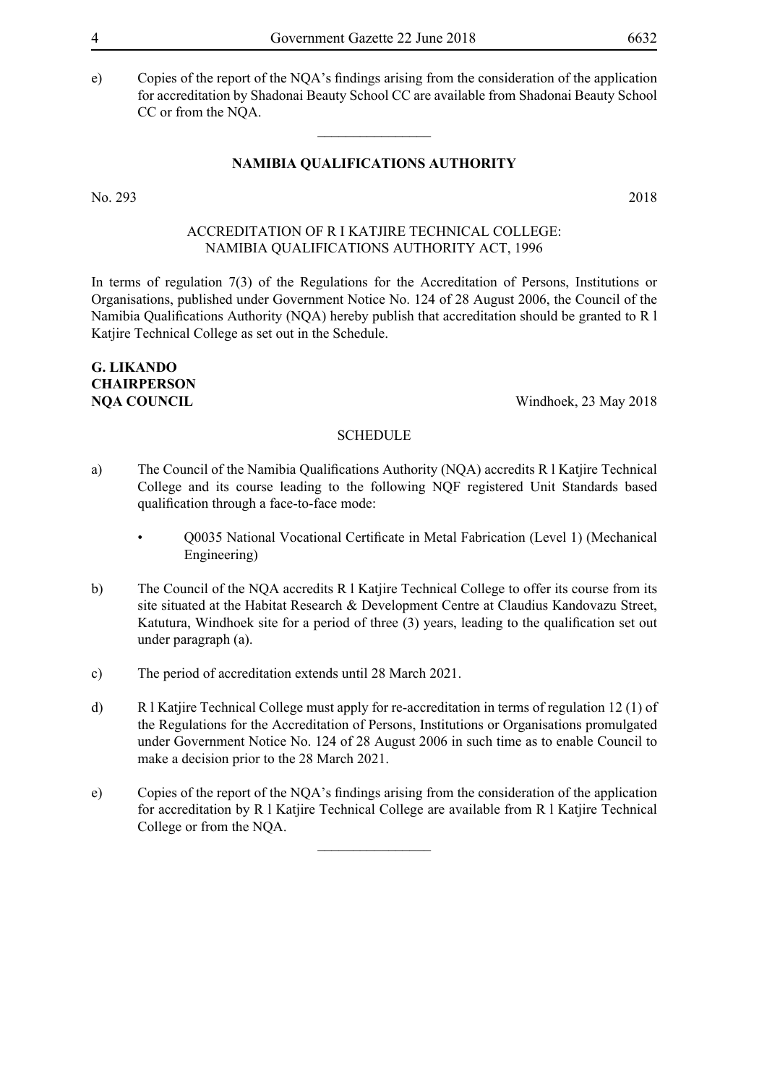e) Copies of the report of the NQA's findings arising from the consideration of the application for accreditation by Shadonai Beauty School CC are available from Shadonai Beauty School CC or from the NQA.

#### **NAMIBIA QUALIFICATIONS AUTHORITY**

 $\overline{\phantom{a}}$  , where  $\overline{\phantom{a}}$ 

No. 293 2018

#### Accreditation of R I Katjire Technical College: Namibia Qualifications Authority Act, 1996

In terms of regulation 7(3) of the Regulations for the Accreditation of Persons, Institutions or Organisations, published under Government Notice No. 124 of 28 August 2006, the Council of the Namibia Qualifications Authority (NQA) hereby publish that accreditation should be granted to R l Katjire Technical College as set out in the Schedule.

### **G. Likando Chairperson**

**NOA COUNCIL** Windhoek, 23 May 2018

#### **SCHEDULE**

- a) The Council of the Namibia Qualifications Authority (NQA) accredits R l Katjire Technical College and its course leading to the following NQF registered Unit Standards based qualification through a face-to-face mode:
	- Q0035 National Vocational Certificate in Metal Fabrication (Level 1) (Mechanical Engineering)
- b) The Council of the NQA accredits R l Katjire Technical College to offer its course from its site situated at the Habitat Research & Development Centre at Claudius Kandovazu Street, Katutura, Windhoek site for a period of three (3) years, leading to the qualification set out under paragraph (a).
- c) The period of accreditation extends until 28 March 2021.
- d) R l Katjire Technical College must apply for re-accreditation in terms of regulation 12 (1) of the Regulations for the Accreditation of Persons, Institutions or Organisations promulgated under Government Notice No. 124 of 28 August 2006 in such time as to enable Council to make a decision prior to the 28 March 2021.
- e) Copies of the report of the NQA's findings arising from the consideration of the application for accreditation by R l Katjire Technical College are available from R l Katjire Technical College or from the NQA.

 $\overline{\phantom{a}}$  , where  $\overline{\phantom{a}}$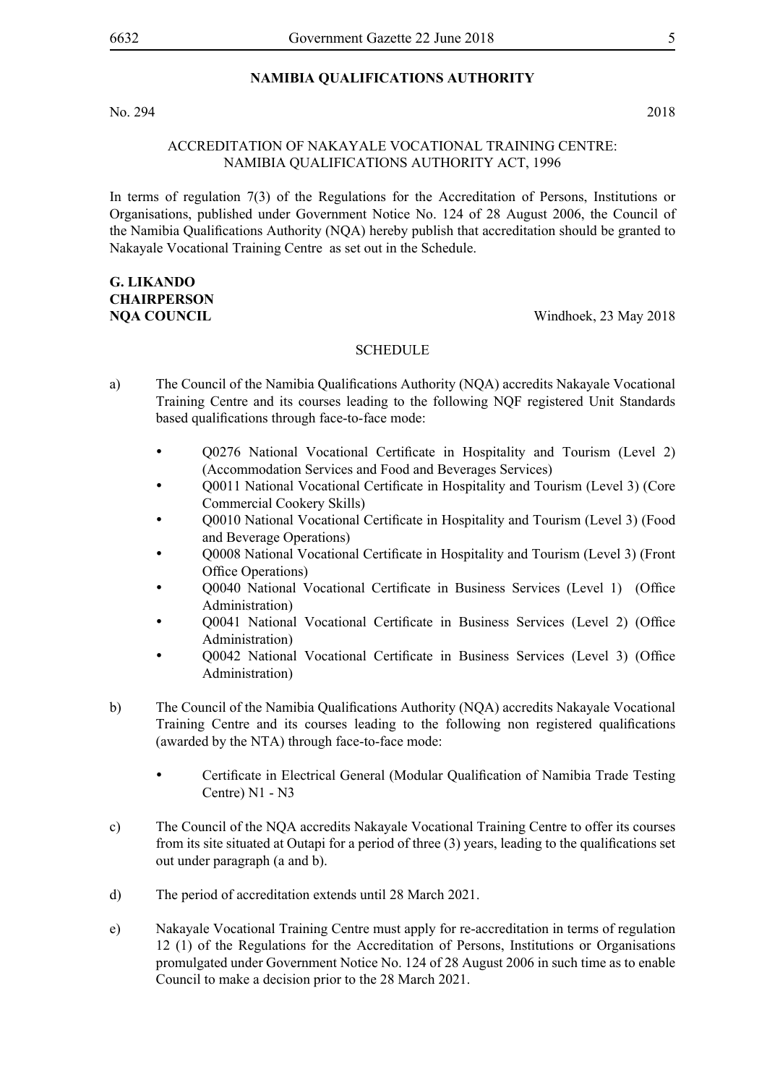#### No. 294 2018

#### Accreditation of Nakayale Vocational Training Centre: Namibia Qualifications Authority Act, 1996

In terms of regulation 7(3) of the Regulations for the Accreditation of Persons, Institutions or Organisations, published under Government Notice No. 124 of 28 August 2006, the Council of the Namibia Qualifications Authority (NQA) hereby publish that accreditation should be granted to Nakayale Vocational Training Centre as set out in the Schedule.

### **G. Likando Chairperson**

#### **NQA COUNCIL** Windhoek, 23 May 2018

- a) The Council of the Namibia Qualifications Authority (NQA) accredits Nakayale Vocational Training Centre and its courses leading to the following NQF registered Unit Standards based qualifications through face-to-face mode:
	- • Q0276 National Vocational Certificate in Hospitality and Tourism (Level 2) (Accommodation Services and Food and Beverages Services)
	- Q0011 National Vocational Certificate in Hospitality and Tourism (Level 3) (Core Commercial Cookery Skills)
	- Q0010 National Vocational Certificate in Hospitality and Tourism (Level 3) (Food and Beverage Operations)
	- Q0008 National Vocational Certificate in Hospitality and Tourism (Level 3) (Front Office Operations)
	- • Q0040 National Vocational Certificate in Business Services (Level 1) (Office Administration)
	- Q0041 National Vocational Certificate in Business Services (Level 2) (Office Administration)
	- • Q0042 National Vocational Certificate in Business Services (Level 3) (Office Administration)
- b) The Council of the Namibia Qualifications Authority (NQA) accredits Nakayale Vocational Training Centre and its courses leading to the following non registered qualifications (awarded by the NTA) through face-to-face mode:
	- Certificate in Electrical General (Modular Qualification of Namibia Trade Testing Centre) N1 - N3
- c) The Council of the NQA accredits Nakayale Vocational Training Centre to offer its courses from its site situated at Outapi for a period of three (3) years, leading to the qualifications set out under paragraph (a and b).
- d) The period of accreditation extends until 28 March 2021.
- e) Nakayale Vocational Training Centre must apply for re-accreditation in terms of regulation 12 (1) of the Regulations for the Accreditation of Persons, Institutions or Organisations promulgated under Government Notice No. 124 of 28 August 2006 in such time as to enable Council to make a decision prior to the 28 March 2021.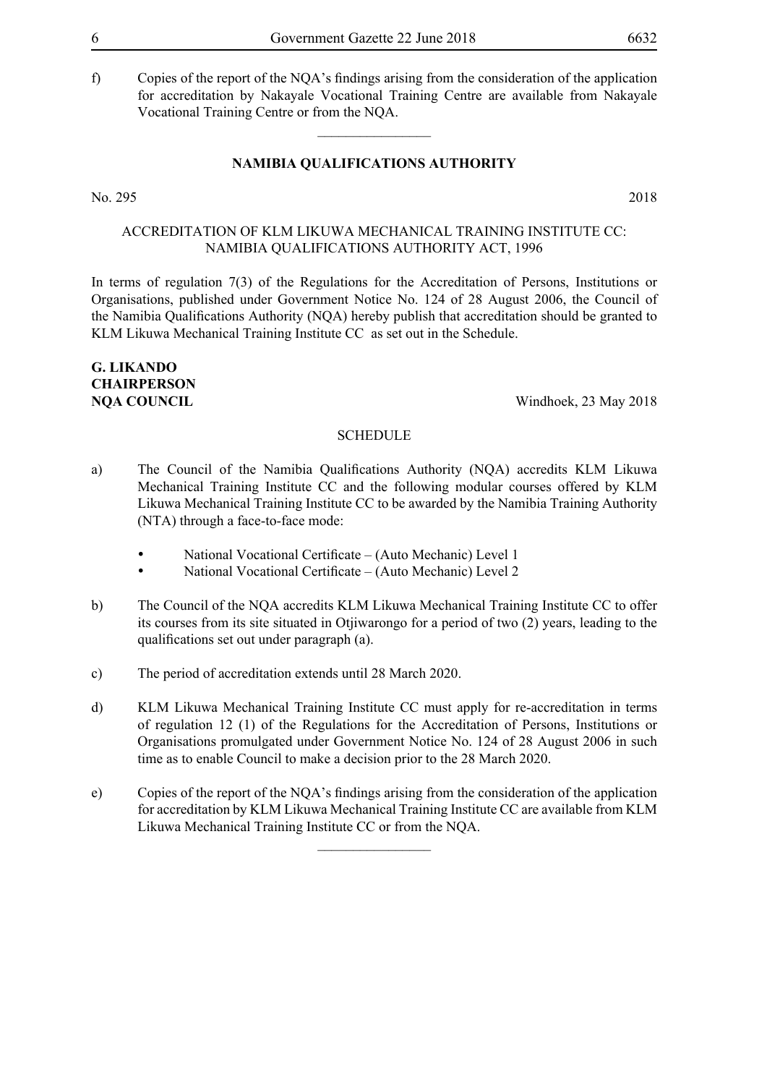f) Copies of the report of the NQA's findings arising from the consideration of the application for accreditation by Nakayale Vocational Training Centre are available from Nakayale Vocational Training Centre or from the NQA.

#### **NAMIBIA QUALIFICATIONS AUTHORITY**

 $\overline{\phantom{a}}$  , where  $\overline{\phantom{a}}$ 

No. 295 2018

Accreditation of KLM Likuwa Mechanical Training Institute CC: Namibia Qualifications Authority Act, 1996

In terms of regulation 7(3) of the Regulations for the Accreditation of Persons, Institutions or Organisations, published under Government Notice No. 124 of 28 August 2006, the Council of the Namibia Qualifications Authority (NQA) hereby publish that accreditation should be granted to KLM Likuwa Mechanical Training Institute CC as set out in the Schedule.

### **G. Likando Chairperson**

**NOA COUNCIL** Windhoek, 23 May 2018

#### **SCHEDULE**

- a) The Council of the Namibia Qualifications Authority (NQA) accredits KLM Likuwa Mechanical Training Institute CC and the following modular courses offered by KLM Likuwa Mechanical Training Institute CC to be awarded by the Namibia Training Authority (NTA) through a face-to-face mode:
	- National Vocational Certificate (Auto Mechanic) Level 1
	- National Vocational Certificate (Auto Mechanic) Level 2
- b) The Council of the NQA accredits KLM Likuwa Mechanical Training Institute CC to offer its courses from its site situated in Otjiwarongo for a period of two (2) years, leading to the qualifications set out under paragraph (a).
- c) The period of accreditation extends until 28 March 2020.
- d) KLM Likuwa Mechanical Training Institute CC must apply for re-accreditation in terms of regulation 12 (1) of the Regulations for the Accreditation of Persons, Institutions or Organisations promulgated under Government Notice No. 124 of 28 August 2006 in such time as to enable Council to make a decision prior to the 28 March 2020.
- e) Copies of the report of the NQA's findings arising from the consideration of the application for accreditation by KLM Likuwa Mechanical Training Institute CC are available from KLM Likuwa Mechanical Training Institute CC or from the NQA.

 $\overline{\phantom{a}}$  , where  $\overline{\phantom{a}}$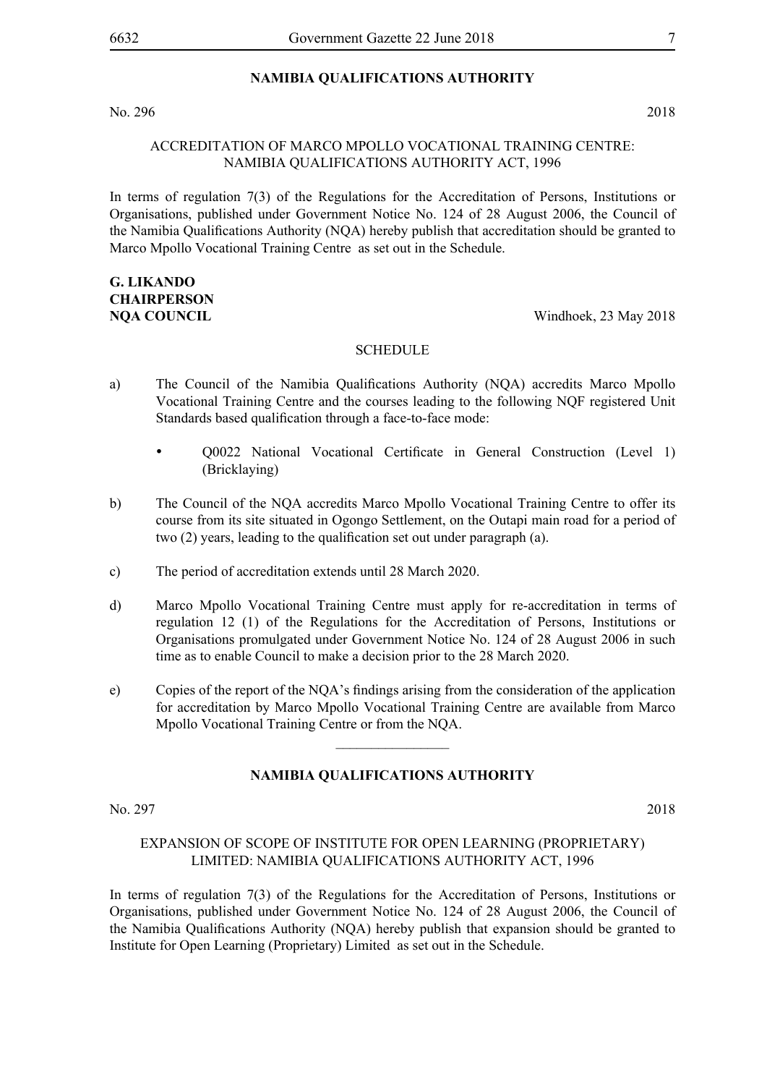#### No. 296 2018

#### Accreditation of Marco Mpollo Vocational Training Centre: Namibia Qualifications Authority Act, 1996

In terms of regulation 7(3) of the Regulations for the Accreditation of Persons, Institutions or Organisations, published under Government Notice No. 124 of 28 August 2006, the Council of the Namibia Qualifications Authority (NQA) hereby publish that accreditation should be granted to Marco Mpollo Vocational Training Centre as set out in the Schedule.

### **G. Likando Chairperson**

**NQA COUNCIL** Windhoek, 23 May 2018

#### **SCHEDULE**

- a) The Council of the Namibia Qualifications Authority (NQA) accredits Marco Mpollo Vocational Training Centre and the courses leading to the following NQF registered Unit Standards based qualification through a face-to-face mode:
	- Q0022 National Vocational Certificate in General Construction (Level 1) (Bricklaying)
- b) The Council of the NQA accredits Marco Mpollo Vocational Training Centre to offer its course from its site situated in Ogongo Settlement, on the Outapi main road for a period of two (2) years, leading to the qualification set out under paragraph (a).
- c) The period of accreditation extends until 28 March 2020.
- d) Marco Mpollo Vocational Training Centre must apply for re-accreditation in terms of regulation 12 (1) of the Regulations for the Accreditation of Persons, Institutions or Organisations promulgated under Government Notice No. 124 of 28 August 2006 in such time as to enable Council to make a decision prior to the 28 March 2020.
- e) Copies of the report of the NQA's findings arising from the consideration of the application for accreditation by Marco Mpollo Vocational Training Centre are available from Marco Mpollo Vocational Training Centre or from the NQA.

 $\frac{1}{2}$ 

#### **NAMIBIA QUALIFICATIONS AUTHORITY**

No. 297 2018

#### Expansion of scope of Institute FOR Open Learning (Proprietary) Limited: Namibia Qualifications Authority Act, 1996

In terms of regulation 7(3) of the Regulations for the Accreditation of Persons, Institutions or Organisations, published under Government Notice No. 124 of 28 August 2006, the Council of the Namibia Qualifications Authority (NQA) hereby publish that expansion should be granted to Institute for Open Learning (Proprietary) Limited as set out in the Schedule.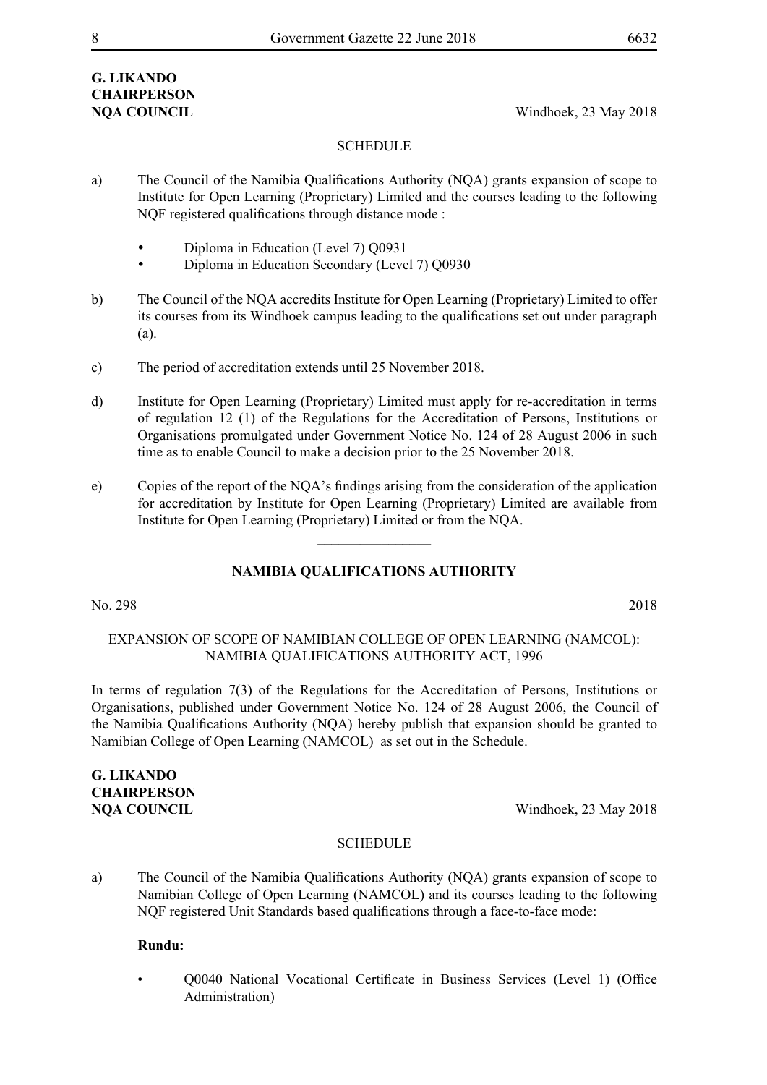### **G. Likando Chairperson**

**NQA COUNCIL** Windhoek, 23 May 2018

#### **SCHEDULE**

- a) The Council of the Namibia Qualifications Authority (NQA) grants expansion of scope to Institute for Open Learning (Proprietary) Limited and the courses leading to the following NQF registered qualifications through distance mode :
	- Diploma in Education (Level 7) Q0931
	- Diploma in Education Secondary (Level 7) Q0930
- b) The Council of the NQA accredits Institute for Open Learning (Proprietary) Limited to offer its courses from its Windhoek campus leading to the qualifications set out under paragraph (a).
- c) The period of accreditation extends until 25 November 2018.
- d) Institute for Open Learning (Proprietary) Limited must apply for re-accreditation in terms of regulation 12 (1) of the Regulations for the Accreditation of Persons, Institutions or Organisations promulgated under Government Notice No. 124 of 28 August 2006 in such time as to enable Council to make a decision prior to the 25 November 2018.
- e) Copies of the report of the NQA's findings arising from the consideration of the application for accreditation by Institute for Open Learning (Proprietary) Limited are available from Institute for Open Learning (Proprietary) Limited or from the NQA.

 $\frac{1}{2}$ 

#### **NAMIBIA QUALIFICATIONS AUTHORITY**

#### No. 298 2018

#### Expansion of Scope of Namibian College of Open Learning (NAMCOL): Namibia Qualifications Authority Act, 1996

In terms of regulation 7(3) of the Regulations for the Accreditation of Persons, Institutions or Organisations, published under Government Notice No. 124 of 28 August 2006, the Council of the Namibia Qualifications Authority (NQA) hereby publish that expansion should be granted to Namibian College of Open Learning (NAMCOL) as set out in the Schedule.

### **G. Likando Chairperson**

**NQA COUNCIL** Windhoek, 23 May 2018

#### **SCHEDULE**

a) The Council of the Namibia Qualifications Authority (NQA) grants expansion of scope to Namibian College of Open Learning (NAMCOL) and its courses leading to the following NQF registered Unit Standards based qualifications through a face-to-face mode:

#### **Rundu:**

• Q0040 National Vocational Certificate in Business Services (Level 1) (Office Administration)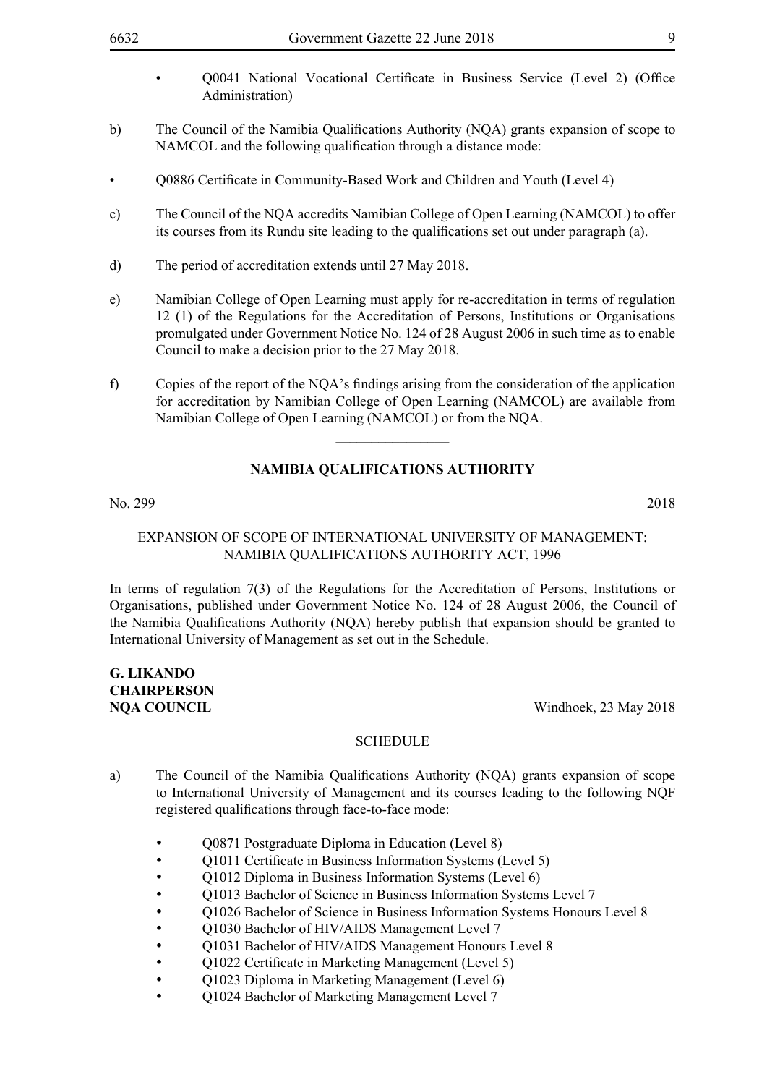- Q0041 National Vocational Certificate in Business Service (Level 2) (Office Administration)
- b) The Council of the Namibia Qualifications Authority (NQA) grants expansion of scope to NAMCOL and the following qualification through a distance mode:
- O0886 Certificate in Community-Based Work and Children and Youth (Level 4)
- c) The Council of the NQA accredits Namibian College of Open Learning (NAMCOL) to offer its courses from its Rundu site leading to the qualifications set out under paragraph (a).
- d) The period of accreditation extends until 27 May 2018.
- e) Namibian College of Open Learning must apply for re-accreditation in terms of regulation 12 (1) of the Regulations for the Accreditation of Persons, Institutions or Organisations promulgated under Government Notice No. 124 of 28 August 2006 in such time as to enable Council to make a decision prior to the 27 May 2018.
- f) Copies of the report of the NQA's findings arising from the consideration of the application for accreditation by Namibian College of Open Learning (NAMCOL) are available from Namibian College of Open Learning (NAMCOL) or from the NQA.

 $\overline{\phantom{a}}$  , where  $\overline{\phantom{a}}$ 

#### **NAMIBIA QUALIFICATIONS AUTHORITY**

No. 299 2018

#### Expansion of Scope of International University of Management: Namibia Qualifications Authority Act, 1996

In terms of regulation 7(3) of the Regulations for the Accreditation of Persons, Institutions or Organisations, published under Government Notice No. 124 of 28 August 2006, the Council of the Namibia Qualifications Authority (NQA) hereby publish that expansion should be granted to International University of Management as set out in the Schedule.

### **G. Likando Chairperson**

**NOA COUNCIL** Windhoek, 23 May 2018

- a) The Council of the Namibia Qualifications Authority (NQA) grants expansion of scope to International University of Management and its courses leading to the following NQF registered qualifications through face-to-face mode:
	- Q0871 Postgraduate Diploma in Education (Level 8)
	- Q1011 Certificate in Business Information Systems (Level 5)
	- Q1012 Diploma in Business Information Systems (Level 6)
	- **Q1013 Bachelor of Science in Business Information Systems Level 7**
	- Q1026 Bachelor of Science in Business Information Systems Honours Level 8
	- O1030 Bachelor of HIV/AIDS Management Level 7
	- Q1031 Bachelor of HIV/AIDS Management Honours Level 8
	- Q1022 Certificate in Marketing Management (Level 5)
	- O1023 Diploma in Marketing Management (Level 6)
	- Q1024 Bachelor of Marketing Management Level 7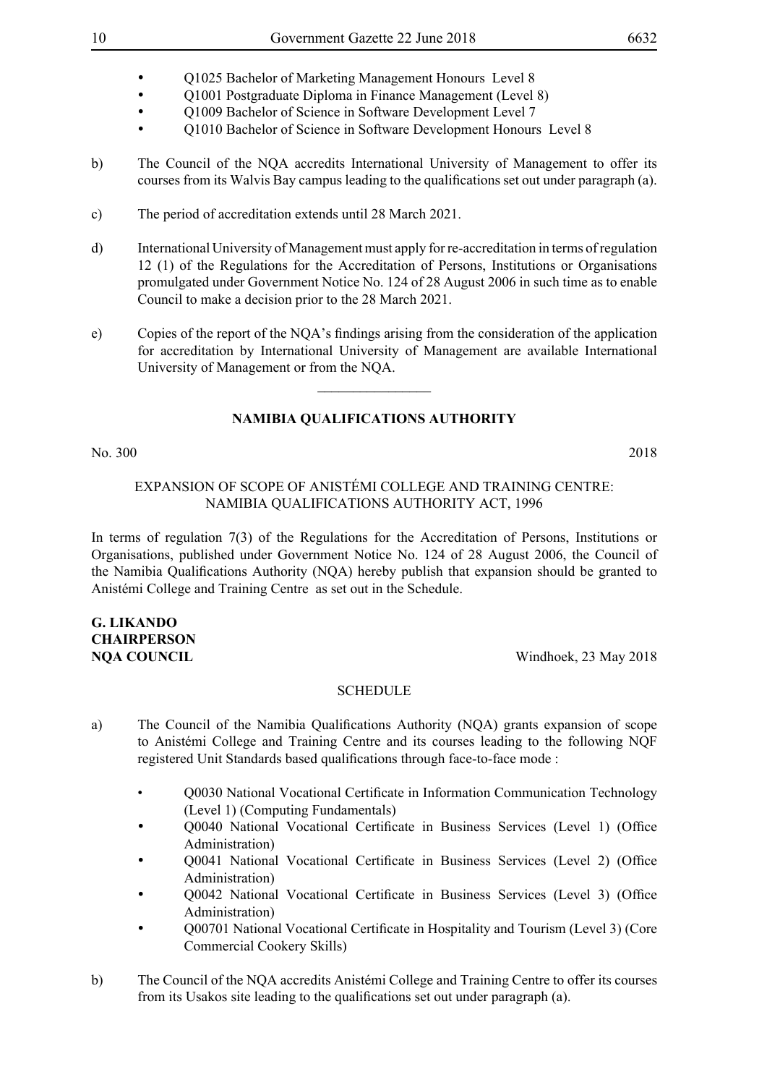- **Q1025 Bachelor of Marketing Management Honours Level 8**
- Q1001 Postgraduate Diploma in Finance Management (Level 8)
- Q1009 Bachelor of Science in Software Development Level 7
- O1010 Bachelor of Science in Software Development Honours Level 8
- b) The Council of the NQA accredits International University of Management to offer its courses from its Walvis Bay campus leading to the qualifications set out under paragraph (a).
- c) The period of accreditation extends until 28 March 2021.
- d) International University of Management must apply for re-accreditation in terms of regulation 12 (1) of the Regulations for the Accreditation of Persons, Institutions or Organisations promulgated under Government Notice No. 124 of 28 August 2006 in such time as to enable Council to make a decision prior to the 28 March 2021.
- e) Copies of the report of the NQA's findings arising from the consideration of the application for accreditation by International University of Management are available International University of Management or from the NQA.

#### **NAMIBIA QUALIFICATIONS AUTHORITY**

No. 300 2018

#### Expansion of Scope of Anistémi College and Training Centre: Namibia Qualifications Authority Act, 1996

In terms of regulation 7(3) of the Regulations for the Accreditation of Persons, Institutions or Organisations, published under Government Notice No. 124 of 28 August 2006, the Council of the Namibia Qualifications Authority (NQA) hereby publish that expansion should be granted to Anistémi College and Training Centre as set out in the Schedule.

### **G. Likando Chairperson**

**NOA COUNCIL** Windhoek, 23 May 2018

- a) The Council of the Namibia Qualifications Authority (NQA) grants expansion of scope to Anistémi College and Training Centre and its courses leading to the following NQF registered Unit Standards based qualifications through face-to-face mode :
	- Q0030 National Vocational Certificate in Information Communication Technology (Level 1) (Computing Fundamentals)
	- Q0040 National Vocational Certificate in Business Services (Level 1) (Office Administration)
	- Q0041 National Vocational Certificate in Business Services (Level 2) (Office Administration)
	- Q0042 National Vocational Certificate in Business Services (Level 3) (Office Administration)
	- O00701 National Vocational Certificate in Hospitality and Tourism (Level 3) (Core Commercial Cookery Skills)
- b) The Council of the NQA accredits Anistémi College and Training Centre to offer its courses from its Usakos site leading to the qualifications set out under paragraph (a).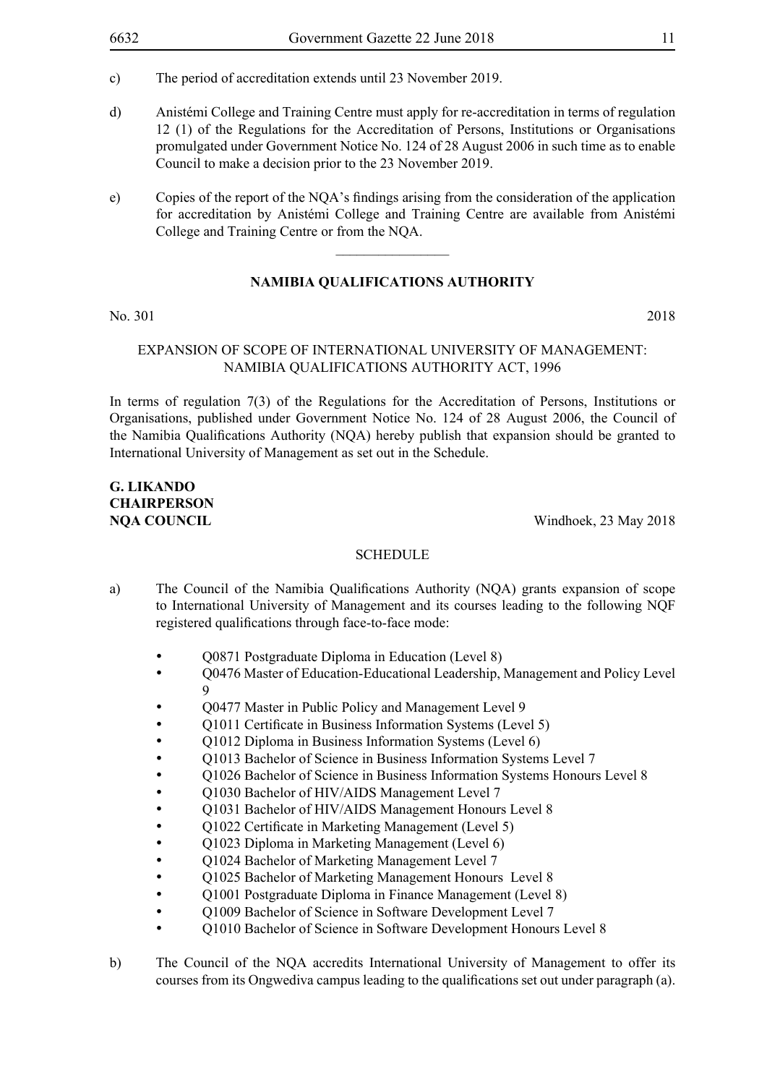- c) The period of accreditation extends until 23 November 2019.
- d) Anistémi College and Training Centre must apply for re-accreditation in terms of regulation 12 (1) of the Regulations for the Accreditation of Persons, Institutions or Organisations promulgated under Government Notice No. 124 of 28 August 2006 in such time as to enable Council to make a decision prior to the 23 November 2019.
- e) Copies of the report of the NQA's findings arising from the consideration of the application for accreditation by Anistémi College and Training Centre are available from Anistémi College and Training Centre or from the NQA.

#### **NAMIBIA QUALIFICATIONS AUTHORITY**

No. 301 2018

#### Expansion of Scope of International University of Management: Namibia Qualifications Authority Act, 1996

In terms of regulation 7(3) of the Regulations for the Accreditation of Persons, Institutions or Organisations, published under Government Notice No. 124 of 28 August 2006, the Council of the Namibia Qualifications Authority (NQA) hereby publish that expansion should be granted to International University of Management as set out in the Schedule.

### **G. Likando Chairperson**

**NQA COUNCIL** Windhoek, 23 May 2018

- a) The Council of the Namibia Qualifications Authority (NQA) grants expansion of scope to International University of Management and its courses leading to the following NQF registered qualifications through face-to-face mode:
	- • Q0871 Postgraduate Diploma in Education (Level 8)
	- • Q0476 Master of Education-Educational Leadership, Management and Policy Level 9
	- Q0477 Master in Public Policy and Management Level 9
	- Q1011 Certificate in Business Information Systems (Level 5)
	- O1012 Diploma in Business Information Systems (Level 6)
	- O1013 Bachelor of Science in Business Information Systems Level 7
	- Q1026 Bachelor of Science in Business Information Systems Honours Level 8
	- Q1030 Bachelor of HIV/AIDS Management Level 7
	- Q1031 Bachelor of HIV/AIDS Management Honours Level 8
	- Q1022 Certificate in Marketing Management (Level 5)
	- Q1023 Diploma in Marketing Management (Level 6)
	- Q1024 Bachelor of Marketing Management Level 7
	- **Q1025 Bachelor of Marketing Management Honours Level 8**
	- Q1001 Postgraduate Diploma in Finance Management (Level 8)
	- Q1009 Bachelor of Science in Software Development Level 7
	- Q1010 Bachelor of Science in Software Development Honours Level 8
- b) The Council of the NQA accredits International University of Management to offer its courses from its Ongwediva campus leading to the qualifications set out under paragraph (a).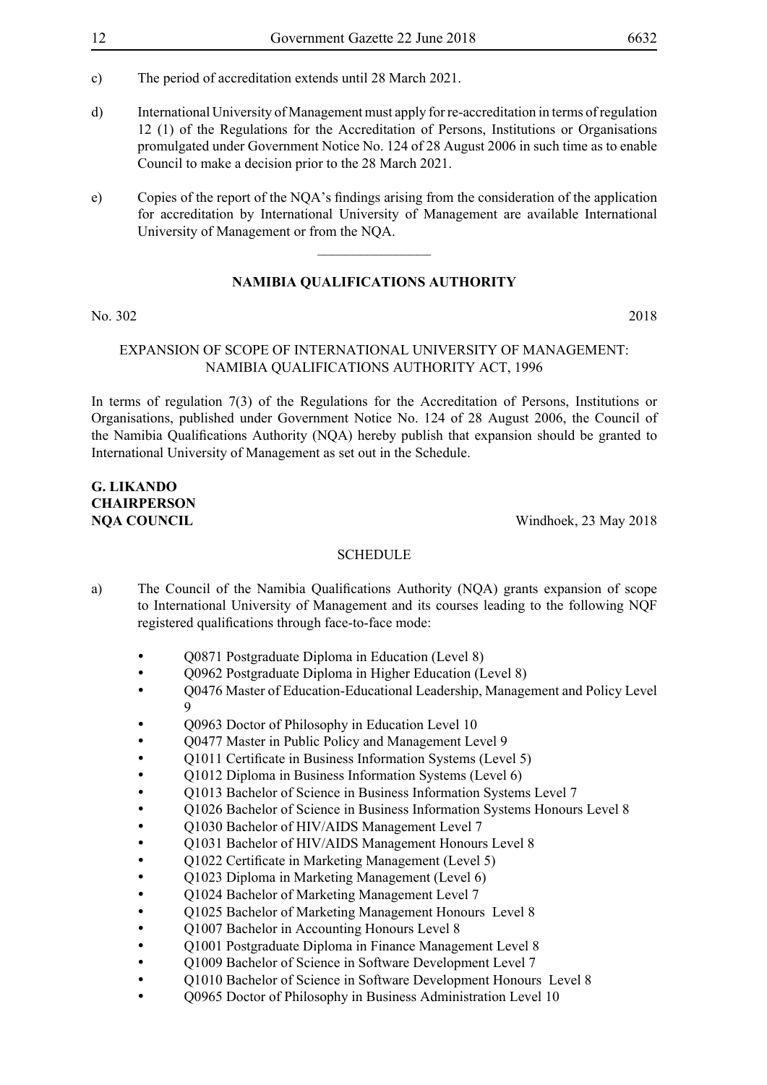- c) The period of accreditation extends until 28 March 2021.
- d) International University of Management must apply for re-accreditation in terms of regulation 12 (1) of the Regulations for the Accreditation of Persons, Institutions or Organisations promulgated under Government Notice No. 124 of 28 August 2006 in such time as to enable Council to make a decision prior to the 28 March 2021.
- e) Copies of the report of the NQA's findings arising from the consideration of the application for accreditation by International University of Management are available International University of Management or from the NQA.

#### **NAMIBIA QUALIFICATIONS AUTHORITY**

No. 302 2018

#### Expansion of Scope of International University of Management: Namibia Qualifications Authority Act, 1996

In terms of regulation 7(3) of the Regulations for the Accreditation of Persons, Institutions or Organisations, published under Government Notice No. 124 of 28 August 2006, the Council of the Namibia Qualifications Authority (NQA) hereby publish that expansion should be granted to International University of Management as set out in the Schedule.

## **G. Likando Chairperson**

**NQA COUNCIL** Windhoek, 23 May 2018

- a) The Council of the Namibia Qualifications Authority (NQA) grants expansion of scope to International University of Management and its courses leading to the following NQF registered qualifications through face-to-face mode:
	- Q0871 Postgraduate Diploma in Education (Level 8)
	- Q0962 Postgraduate Diploma in Higher Education (Level 8)
	- Q0476 Master of Education-Educational Leadership, Management and Policy Level  $\overline{Q}$
	- Q0963 Doctor of Philosophy in Education Level 10
	- O0477 Master in Public Policy and Management Level 9
	- Q1011 Certificate in Business Information Systems (Level 5)
	- Q1012 Diploma in Business Information Systems (Level 6)
	- Q1013 Bachelor of Science in Business Information Systems Level 7
	- Q1026 Bachelor of Science in Business Information Systems Honours Level 8
	- Q1030 Bachelor of HIV/AIDS Management Level 7
	- Q1031 Bachelor of HIV/AIDS Management Honours Level 8
	- Q1022 Certificate in Marketing Management (Level 5)
	- O1023 Diploma in Marketing Management (Level 6)
	- Q1024 Bachelor of Marketing Management Level 7
	- Q1025 Bachelor of Marketing Management Honours Level 8
	- Q1007 Bachelor in Accounting Honours Level 8
	- Q1001 Postgraduate Diploma in Finance Management Level 8
	- Q1009 Bachelor of Science in Software Development Level 7
	- O1010 Bachelor of Science in Software Development Honours Level 8
	- Q0965 Doctor of Philosophy in Business Administration Level 10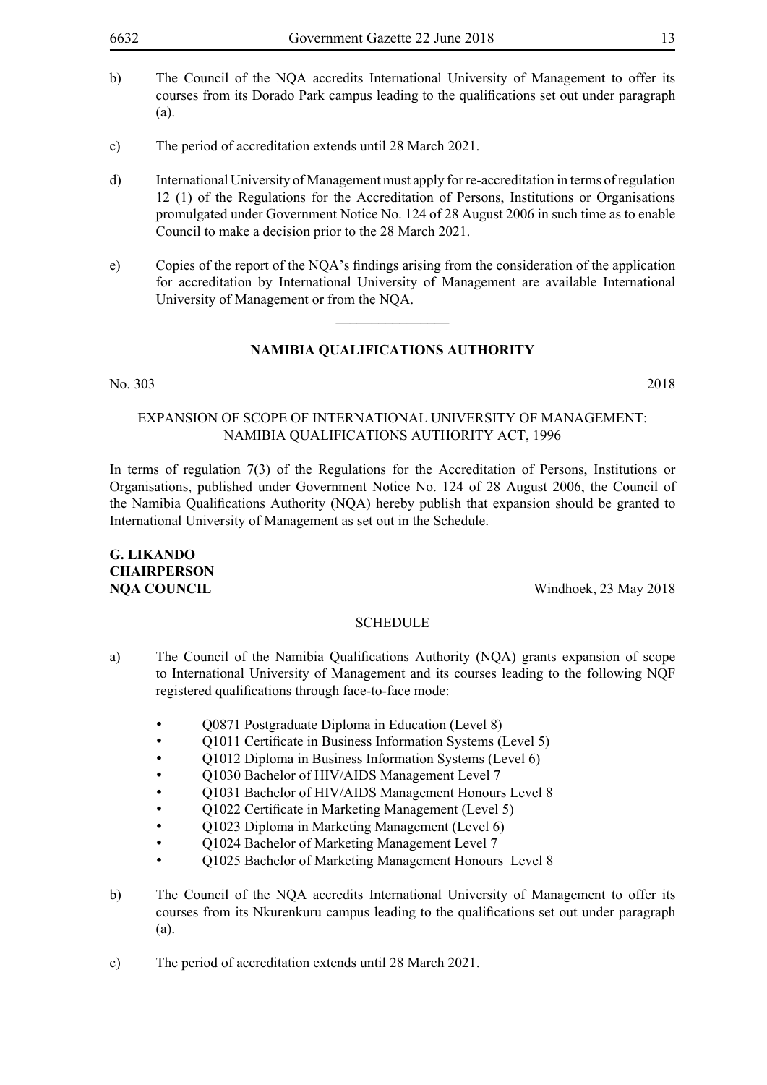- b) The Council of the NQA accredits International University of Management to offer its courses from its Dorado Park campus leading to the qualifications set out under paragraph (a).
- c) The period of accreditation extends until 28 March 2021.
- d) International University of Management must apply for re-accreditation in terms of regulation 12 (1) of the Regulations for the Accreditation of Persons, Institutions or Organisations promulgated under Government Notice No. 124 of 28 August 2006 in such time as to enable Council to make a decision prior to the 28 March 2021.
- e) Copies of the report of the NQA's findings arising from the consideration of the application for accreditation by International University of Management are available International University of Management or from the NQA.

 $\frac{1}{2}$ 

#### No. 303 2018

#### Expansion of Scope of International University of Management: Namibia Qualifications Authority Act, 1996

In terms of regulation 7(3) of the Regulations for the Accreditation of Persons, Institutions or Organisations, published under Government Notice No. 124 of 28 August 2006, the Council of the Namibia Qualifications Authority (NQA) hereby publish that expansion should be granted to International University of Management as set out in the Schedule.

### **G. Likando Chairperson**

**NOA COUNCIL** Windhoek, 23 May 2018

- a) The Council of the Namibia Qualifications Authority (NQA) grants expansion of scope to International University of Management and its courses leading to the following NQF registered qualifications through face-to-face mode:
	- Q0871 Postgraduate Diploma in Education (Level 8)
	- O1011 Certificate in Business Information Systems (Level 5)
	- O1012 Diploma in Business Information Systems (Level 6)
	- Q1030 Bachelor of HIV/AIDS Management Level 7
	- Q1031 Bachelor of HIV/AIDS Management Honours Level 8
	- Q1022 Certificate in Marketing Management (Level 5)
	- Q1023 Diploma in Marketing Management (Level 6)
	- Q1024 Bachelor of Marketing Management Level 7
	- Q1025 Bachelor of Marketing Management Honours Level 8
- b) The Council of the NQA accredits International University of Management to offer its courses from its Nkurenkuru campus leading to the qualifications set out under paragraph (a).
- c) The period of accreditation extends until 28 March 2021.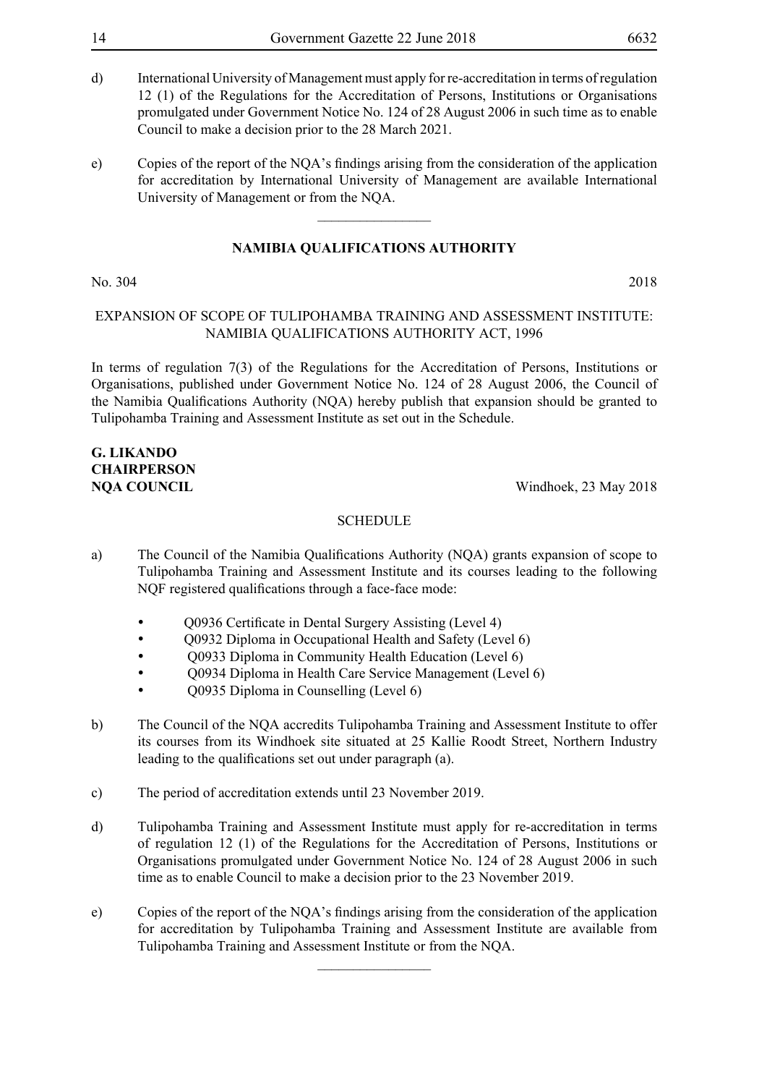- d) International University of Management must apply for re-accreditation in terms of regulation 12 (1) of the Regulations for the Accreditation of Persons, Institutions or Organisations promulgated under Government Notice No. 124 of 28 August 2006 in such time as to enable Council to make a decision prior to the 28 March 2021.
- e) Copies of the report of the NQA's findings arising from the consideration of the application for accreditation by International University of Management are available International University of Management or from the NQA.

 $\overline{\phantom{a}}$  , where  $\overline{\phantom{a}}$ 

#### No. 304 2018

#### Expansion of Scope of Tulipohamba Training and Assessment Institute: Namibia Qualifications Authority Act, 1996

In terms of regulation 7(3) of the Regulations for the Accreditation of Persons, Institutions or Organisations, published under Government Notice No. 124 of 28 August 2006, the Council of the Namibia Qualifications Authority (NQA) hereby publish that expansion should be granted to Tulipohamba Training and Assessment Institute as set out in the Schedule.

### **G. Likando Chairperson**

**NQA COUNCIL** Windhoek, 23 May 2018

#### **SCHEDULE**

- a) The Council of the Namibia Qualifications Authority (NQA) grants expansion of scope to Tulipohamba Training and Assessment Institute and its courses leading to the following NQF registered qualifications through a face-face mode:
	- Q0936 Certificate in Dental Surgery Assisting (Level 4)
	- Q0932 Diploma in Occupational Health and Safety (Level 6)
	- • Q0933 Diploma in Community Health Education (Level 6)
	- • Q0934 Diploma in Health Care Service Management (Level 6)
	- • Q0935 Diploma in Counselling (Level 6)
- b) The Council of the NQA accredits Tulipohamba Training and Assessment Institute to offer its courses from its Windhoek site situated at 25 Kallie Roodt Street, Northern Industry leading to the qualifications set out under paragraph (a).
- c) The period of accreditation extends until 23 November 2019.
- d) Tulipohamba Training and Assessment Institute must apply for re-accreditation in terms of regulation 12 (1) of the Regulations for the Accreditation of Persons, Institutions or Organisations promulgated under Government Notice No. 124 of 28 August 2006 in such time as to enable Council to make a decision prior to the 23 November 2019.
- e) Copies of the report of the NQA's findings arising from the consideration of the application for accreditation by Tulipohamba Training and Assessment Institute are available from Tulipohamba Training and Assessment Institute or from the NQA.

 $\frac{1}{2}$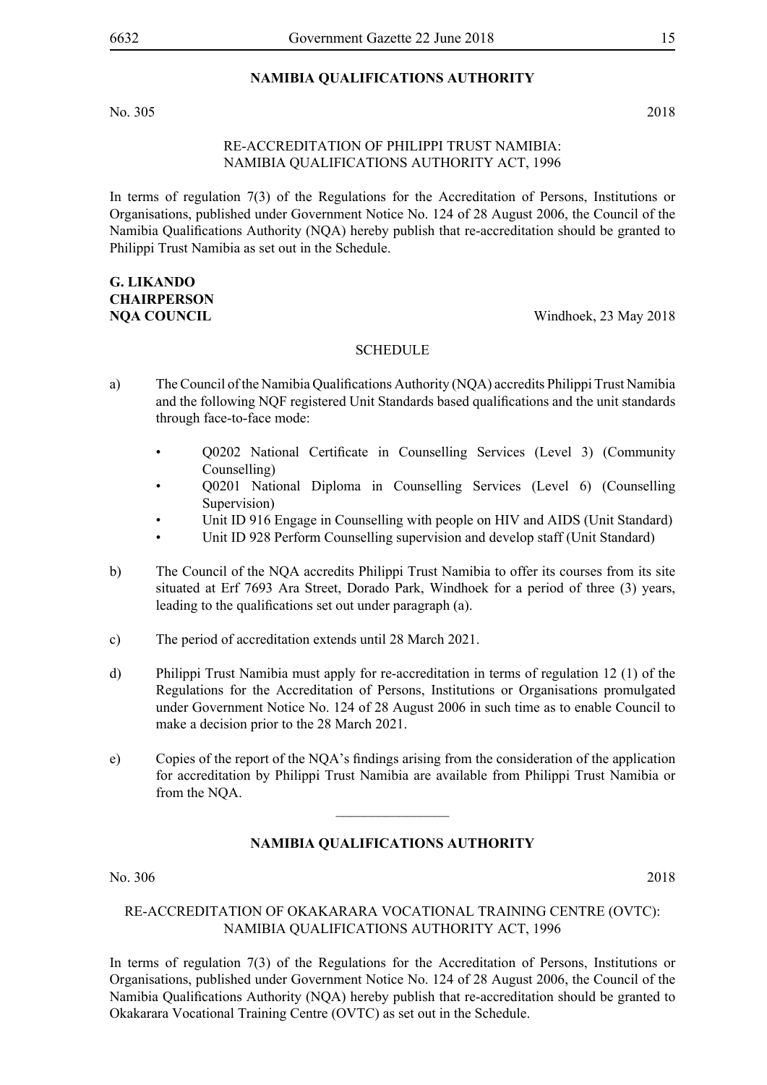No. 305 2018

#### Re-Accreditation of Philippi Trust Namibia: Namibia Qualifications Authority Act, 1996

In terms of regulation 7(3) of the Regulations for the Accreditation of Persons, Institutions or Organisations, published under Government Notice No. 124 of 28 August 2006, the Council of the Namibia Qualifications Authority (NQA) hereby publish that re-accreditation should be granted to Philippi Trust Namibia as set out in the Schedule.

### **G. Likando Chairperson**

**NQA COUNCIL** Windhoek, 23 May 2018

#### **SCHEDULE**

- a) The Council of the Namibia Qualifications Authority (NQA) accredits Philippi Trust Namibia and the following NQF registered Unit Standards based qualifications and the unit standards through face-to-face mode:
	- Q0202 National Certificate in Counselling Services (Level 3) (Community Counselling)
	- Q0201 National Diploma in Counselling Services (Level 6) (Counselling Supervision)
	- Unit ID 916 Engage in Counselling with people on HIV and AIDS (Unit Standard)
	- Unit ID 928 Perform Counselling supervision and develop staff (Unit Standard)
- b) The Council of the NQA accredits Philippi Trust Namibia to offer its courses from its site situated at Erf 7693 Ara Street, Dorado Park, Windhoek for a period of three (3) years, leading to the qualifications set out under paragraph (a).
- c) The period of accreditation extends until 28 March 2021.
- d) Philippi Trust Namibia must apply for re-accreditation in terms of regulation 12 (1) of the Regulations for the Accreditation of Persons, Institutions or Organisations promulgated under Government Notice No. 124 of 28 August 2006 in such time as to enable Council to make a decision prior to the 28 March 2021.
- e) Copies of the report of the NQA's findings arising from the consideration of the application for accreditation by Philippi Trust Namibia are available from Philippi Trust Namibia or from the NQA.

 $\overline{\phantom{a}}$  , where  $\overline{\phantom{a}}$ 

#### **NAMIBIA QUALIFICATIONS AUTHORITY**

No. 306 2018

#### Re-Accreditation of Okakarara Vocational Training Centre (OVTC): Namibia Qualifications Authority Act, 1996

In terms of regulation 7(3) of the Regulations for the Accreditation of Persons, Institutions or Organisations, published under Government Notice No. 124 of 28 August 2006, the Council of the Namibia Qualifications Authority (NQA) hereby publish that re-accreditation should be granted to Okakarara Vocational Training Centre (OVTC) as set out in the Schedule.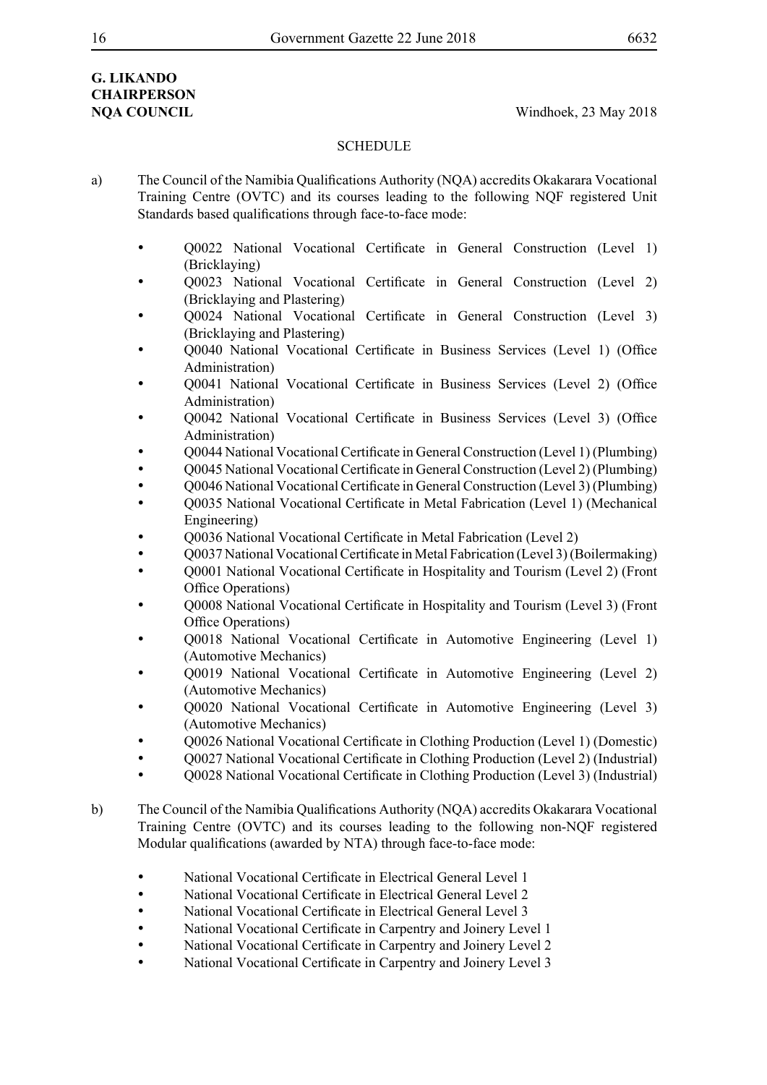### **G. Likando Chairperson**

**NOA COUNCIL** Windhoek, 23 May 2018

- a) The Council of the Namibia Qualifications Authority (NQA) accredits Okakarara Vocational Training Centre (OVTC) and its courses leading to the following NQF registered Unit Standards based qualifications through face-to-face mode:
	- • Q0022 National Vocational Certificate in General Construction (Level 1) (Bricklaying)
	- Q0023 National Vocational Certificate in General Construction (Level 2) (Bricklaying and Plastering)
	- Q0024 National Vocational Certificate in General Construction (Level 3) (Bricklaying and Plastering)
	- • Q0040 National Vocational Certificate in Business Services (Level 1) (Office Administration)
	- • Q0041 National Vocational Certificate in Business Services (Level 2) (Office Administration)
	- Q0042 National Vocational Certificate in Business Services (Level 3) (Office Administration)
	- • Q0044 National Vocational Certificate in General Construction (Level 1) (Plumbing)
	- • Q0045 National Vocational Certificate in General Construction (Level 2) (Plumbing)
	- • Q0046 National Vocational Certificate in General Construction (Level 3) (Plumbing)
	- Q0035 National Vocational Certificate in Metal Fabrication (Level 1) (Mechanical Engineering)
	- Q0036 National Vocational Certificate in Metal Fabrication (Level 2)
	- Q0037 National Vocational Certificate in Metal Fabrication (Level 3) (Boilermaking)
	- Q0001 National Vocational Certificate in Hospitality and Tourism (Level 2) (Front Office Operations)
	- • Q0008 National Vocational Certificate in Hospitality and Tourism (Level 3) (Front Office Operations)
	- Q0018 National Vocational Certificate in Automotive Engineering (Level 1) (Automotive Mechanics)
	- O0019 National Vocational Certificate in Automotive Engineering (Level 2) (Automotive Mechanics)
	- Q0020 National Vocational Certificate in Automotive Engineering (Level 3) (Automotive Mechanics)
	- • Q0026 National Vocational Certificate in Clothing Production (Level 1) (Domestic)
	- • Q0027 National Vocational Certificate in Clothing Production (Level 2) (Industrial)
	- • Q0028 National Vocational Certificate in Clothing Production (Level 3) (Industrial)
- b) The Council of the Namibia Qualifications Authority (NQA) accredits Okakarara Vocational Training Centre (OVTC) and its courses leading to the following non-NQF registered Modular qualifications (awarded by NTA) through face-to-face mode:
	- National Vocational Certificate in Electrical General Level 1
	- National Vocational Certificate in Electrical General Level 2
	- National Vocational Certificate in Electrical General Level 3
	- National Vocational Certificate in Carpentry and Joinery Level 1
	- National Vocational Certificate in Carpentry and Joinery Level 2
	- National Vocational Certificate in Carpentry and Joinery Level 3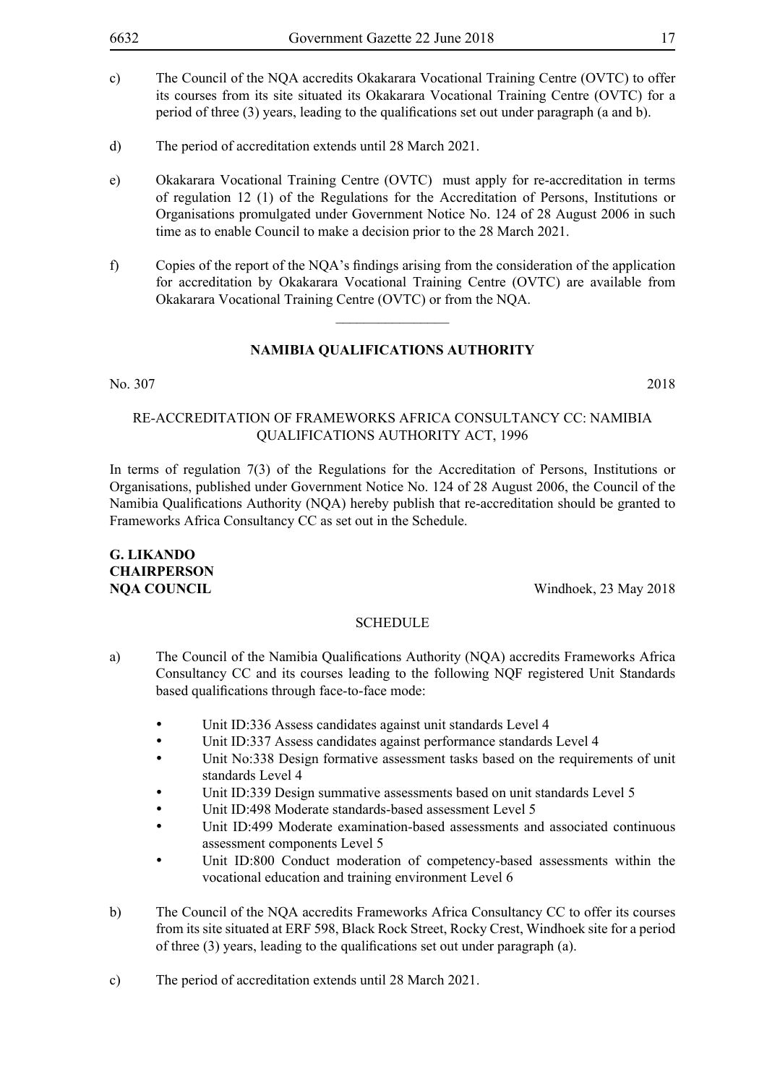- c) The Council of the NQA accredits Okakarara Vocational Training Centre (OVTC) to offer its courses from its site situated its Okakarara Vocational Training Centre (OVTC) for a period of three (3) years, leading to the qualifications set out under paragraph (a and b).
- d) The period of accreditation extends until 28 March 2021.
- e) Okakarara Vocational Training Centre (OVTC) must apply for re-accreditation in terms of regulation 12 (1) of the Regulations for the Accreditation of Persons, Institutions or Organisations promulgated under Government Notice No. 124 of 28 August 2006 in such time as to enable Council to make a decision prior to the 28 March 2021.
- f) Copies of the report of the NQA's findings arising from the consideration of the application for accreditation by Okakarara Vocational Training Centre (OVTC) are available from Okakarara Vocational Training Centre (OVTC) or from the NQA.

 $\frac{1}{2}$ 

#### No. 307 2018

#### Re-Accreditation of Frameworks Africa Consultancy CC: Namibia Qualifications Authority Act, 1996

In terms of regulation 7(3) of the Regulations for the Accreditation of Persons, Institutions or Organisations, published under Government Notice No. 124 of 28 August 2006, the Council of the Namibia Qualifications Authority (NQA) hereby publish that re-accreditation should be granted to Frameworks Africa Consultancy CC as set out in the Schedule.

### **G. Likando Chairperson**

**NOA COUNCIL** Windhoek, 23 May 2018

- a) The Council of the Namibia Qualifications Authority (NQA) accredits Frameworks Africa Consultancy CC and its courses leading to the following NQF registered Unit Standards based qualifications through face-to-face mode:
	- Unit ID:336 Assess candidates against unit standards Level 4
	- Unit ID:337 Assess candidates against performance standards Level 4
	- Unit No:338 Design formative assessment tasks based on the requirements of unit standards Level 4
	- Unit ID:339 Design summative assessments based on unit standards Level 5
	- Unit ID:498 Moderate standards-based assessment Level 5
	- Unit ID:499 Moderate examination-based assessments and associated continuous assessment components Level 5
	- Unit ID:800 Conduct moderation of competency-based assessments within the vocational education and training environment Level 6
- b) The Council of the NQA accredits Frameworks Africa Consultancy CC to offer its courses from its site situated at ERF 598, Black Rock Street, Rocky Crest, Windhoek site for a period of three (3) years, leading to the qualifications set out under paragraph (a).
- c) The period of accreditation extends until 28 March 2021.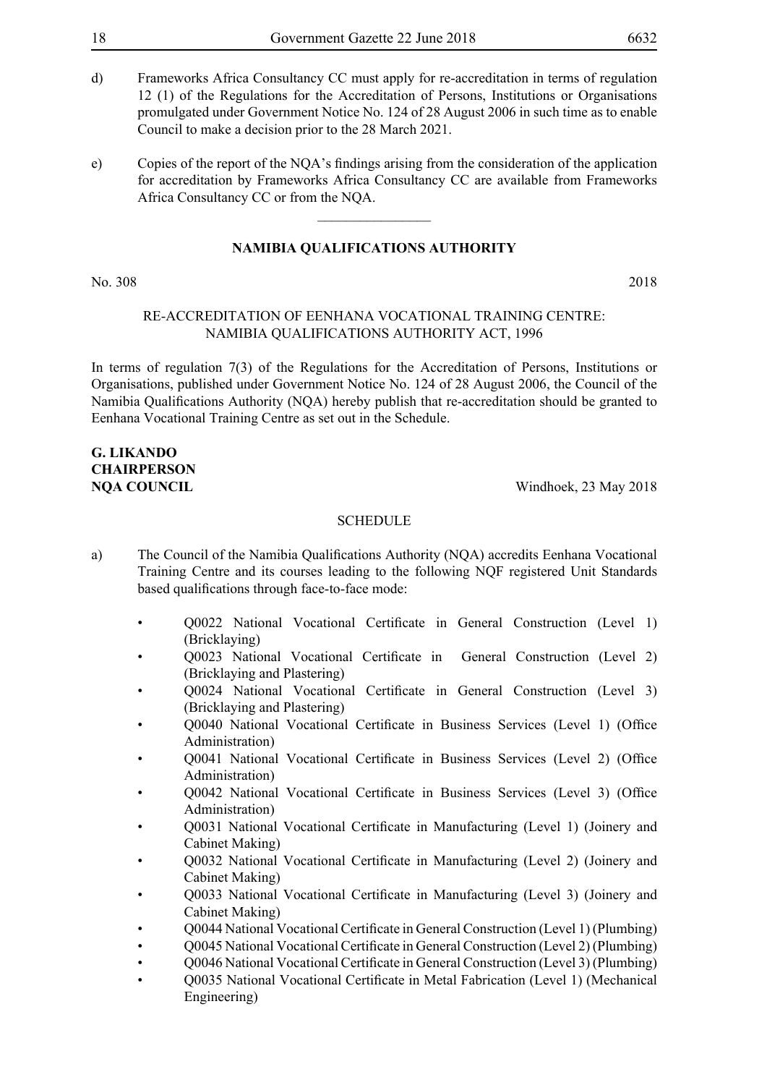- d) Frameworks Africa Consultancy CC must apply for re-accreditation in terms of regulation 12 (1) of the Regulations for the Accreditation of Persons, Institutions or Organisations promulgated under Government Notice No. 124 of 28 August 2006 in such time as to enable Council to make a decision prior to the 28 March 2021.
- e) Copies of the report of the NQA's findings arising from the consideration of the application for accreditation by Frameworks Africa Consultancy CC are available from Frameworks Africa Consultancy CC or from the NQA.

 $\overline{\phantom{a}}$  , where  $\overline{\phantom{a}}$ 

#### **NAMIBIA QUALIFICATIONS AUTHORITY**

#### No. 308 2018

#### Re-Accreditation of Eenhana Vocational Training Centre: Namibia Qualifications Authority Act, 1996

In terms of regulation 7(3) of the Regulations for the Accreditation of Persons, Institutions or Organisations, published under Government Notice No. 124 of 28 August 2006, the Council of the Namibia Qualifications Authority (NQA) hereby publish that re-accreditation should be granted to Eenhana Vocational Training Centre as set out in the Schedule.

### **G. Likando Chairperson**

**NOA COUNCIL** Windhoek, 23 May 2018

- a) The Council of the Namibia Qualifications Authority (NQA) accredits Eenhana Vocational Training Centre and its courses leading to the following NQF registered Unit Standards based qualifications through face-to-face mode:
	- Q0022 National Vocational Certificate in General Construction (Level 1) (Bricklaying)
	- Q0023 National Vocational Certificate in General Construction (Level 2) (Bricklaying and Plastering)
	- Q0024 National Vocational Certificate in General Construction (Level 3) (Bricklaying and Plastering)
	- Q0040 National Vocational Certificate in Business Services (Level 1) (Office Administration)
	- Q0041 National Vocational Certificate in Business Services (Level 2) (Office Administration)
	- Q0042 National Vocational Certificate in Business Services (Level 3) (Office Administration)
	- Q0031 National Vocational Certificate in Manufacturing (Level 1) (Joinery and Cabinet Making)
	- Q0032 National Vocational Certificate in Manufacturing (Level 2) (Joinery and Cabinet Making)
	- Q0033 National Vocational Certificate in Manufacturing (Level 3) (Joinery and Cabinet Making)
	- O0044 National Vocational Certificate in General Construction (Level 1) (Plumbing)
	- Q0045 National Vocational Certificate in General Construction (Level 2) (Plumbing)
	- Q0046 National Vocational Certificate in General Construction (Level 3) (Plumbing)
	- Q0035 National Vocational Certificate in Metal Fabrication (Level 1) (Mechanical Engineering)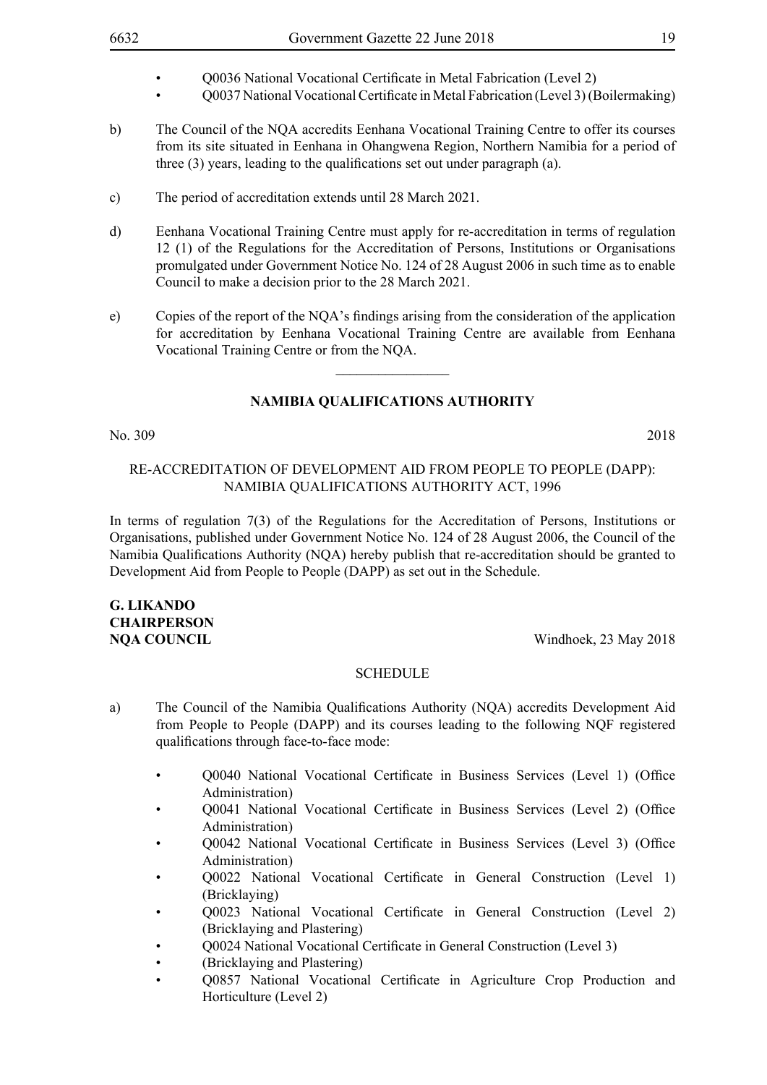- Q0037 National Vocational Certificate in Metal Fabrication (Level 3) (Boilermaking)
- b) The Council of the NQA accredits Eenhana Vocational Training Centre to offer its courses from its site situated in Eenhana in Ohangwena Region, Northern Namibia for a period of three (3) years, leading to the qualifications set out under paragraph (a).
- c) The period of accreditation extends until 28 March 2021.
- d) Eenhana Vocational Training Centre must apply for re-accreditation in terms of regulation 12 (1) of the Regulations for the Accreditation of Persons, Institutions or Organisations promulgated under Government Notice No. 124 of 28 August 2006 in such time as to enable Council to make a decision prior to the 28 March 2021.
- e) Copies of the report of the NQA's findings arising from the consideration of the application for accreditation by Eenhana Vocational Training Centre are available from Eenhana Vocational Training Centre or from the NQA.

 $\overline{\phantom{a}}$  , where  $\overline{\phantom{a}}$ 

No. 309 2018

#### Re-Accreditation of Development Aid from People to People (DAPP): Namibia Qualifications Authority Act, 1996

In terms of regulation 7(3) of the Regulations for the Accreditation of Persons, Institutions or Organisations, published under Government Notice No. 124 of 28 August 2006, the Council of the Namibia Qualifications Authority (NQA) hereby publish that re-accreditation should be granted to Development Aid from People to People (DAPP) as set out in the Schedule.

### **G. Likando Chairperson**

**NQA COUNCIL** Windhoek, 23 May 2018

- a) The Council of the Namibia Qualifications Authority (NQA) accredits Development Aid from People to People (DAPP) and its courses leading to the following NQF registered qualifications through face-to-face mode:
	- Q0040 National Vocational Certificate in Business Services (Level 1) (Office Administration)
	- Q0041 National Vocational Certificate in Business Services (Level 2) (Office Administration)
	- Q0042 National Vocational Certificate in Business Services (Level 3) (Office Administration)
	- Q0022 National Vocational Certificate in General Construction (Level 1) (Bricklaying)
	- Q0023 National Vocational Certificate in General Construction (Level 2) (Bricklaying and Plastering)
	- Q0024 National Vocational Certificate in General Construction (Level 3)
	- (Bricklaying and Plastering)
	- Q0857 National Vocational Certificate in Agriculture Crop Production and Horticulture (Level 2)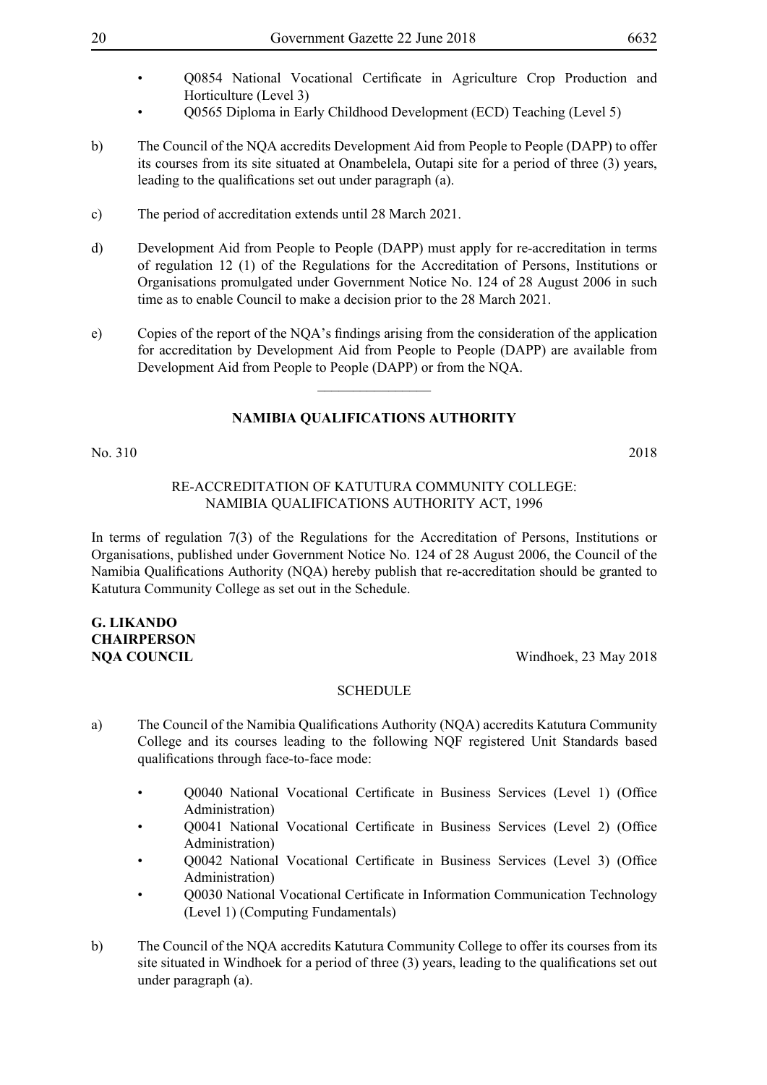- Q0854 National Vocational Certificate in Agriculture Crop Production and Horticulture (Level 3)
- Q0565 Diploma in Early Childhood Development (ECD) Teaching (Level 5)
- b) The Council of the NQA accredits Development Aid from People to People (DAPP) to offer its courses from its site situated at Onambelela, Outapi site for a period of three (3) years, leading to the qualifications set out under paragraph (a).
- c) The period of accreditation extends until 28 March 2021.
- d) Development Aid from People to People (DAPP) must apply for re-accreditation in terms of regulation 12 (1) of the Regulations for the Accreditation of Persons, Institutions or Organisations promulgated under Government Notice No. 124 of 28 August 2006 in such time as to enable Council to make a decision prior to the 28 March 2021.
- e) Copies of the report of the NQA's findings arising from the consideration of the application for accreditation by Development Aid from People to People (DAPP) are available from Development Aid from People to People (DAPP) or from the NQA.

 $\overline{\phantom{a}}$  , where  $\overline{\phantom{a}}$ 

#### **NAMIBIA QUALIFICATIONS AUTHORITY**

No. 310 2018

#### Re-Accreditation of Katutura Community College: Namibia Qualifications Authority Act, 1996

In terms of regulation 7(3) of the Regulations for the Accreditation of Persons, Institutions or Organisations, published under Government Notice No. 124 of 28 August 2006, the Council of the Namibia Qualifications Authority (NQA) hereby publish that re-accreditation should be granted to Katutura Community College as set out in the Schedule.

### **G. Likando Chairperson**

**NOA COUNCIL** Windhoek, 23 May 2018

- a) The Council of the Namibia Qualifications Authority (NQA) accredits Katutura Community College and its courses leading to the following NQF registered Unit Standards based qualifications through face-to-face mode:
	- Q0040 National Vocational Certificate in Business Services (Level 1) (Office Administration)
	- Q0041 National Vocational Certificate in Business Services (Level 2) (Office Administration)
	- Q0042 National Vocational Certificate in Business Services (Level 3) (Office Administration)
	- Q0030 National Vocational Certificate in Information Communication Technology (Level 1) (Computing Fundamentals)
- b) The Council of the NQA accredits Katutura Community College to offer its courses from its site situated in Windhoek for a period of three (3) years, leading to the qualifications set out under paragraph (a).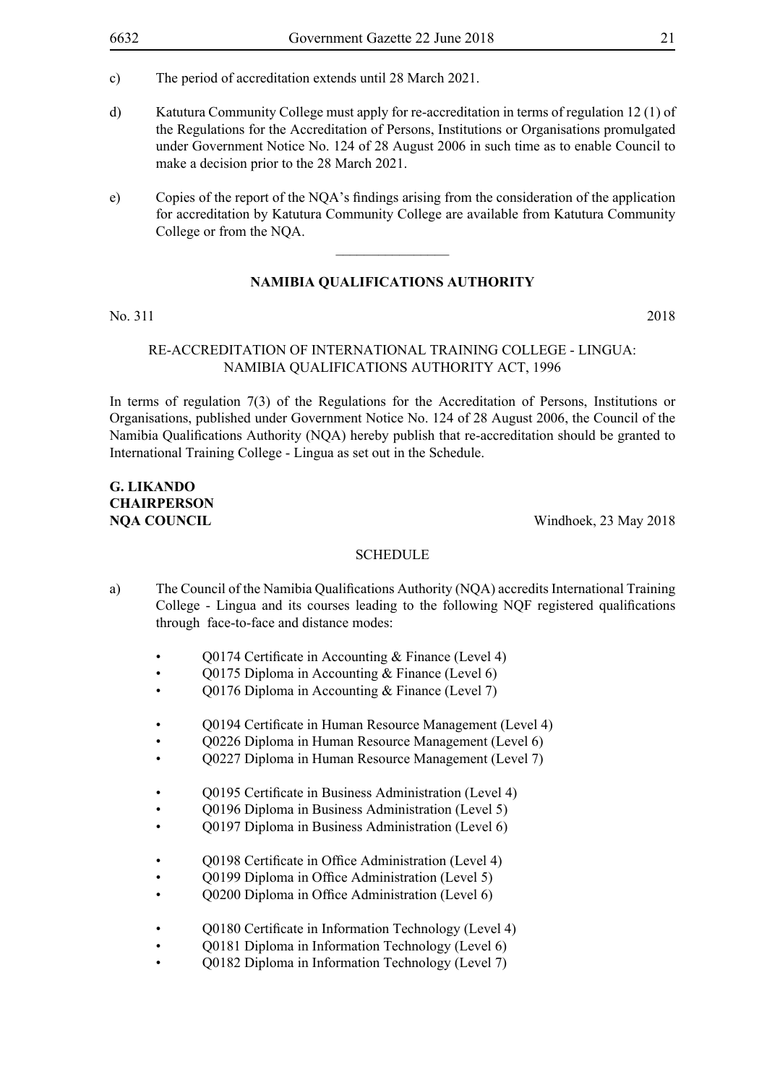- c) The period of accreditation extends until 28 March 2021.
- d) Katutura Community College must apply for re-accreditation in terms of regulation 12 (1) of the Regulations for the Accreditation of Persons, Institutions or Organisations promulgated under Government Notice No. 124 of 28 August 2006 in such time as to enable Council to make a decision prior to the 28 March 2021.
- e) Copies of the report of the NQA's findings arising from the consideration of the application for accreditation by Katutura Community College are available from Katutura Community College or from the NQA.

#### **NAMIBIA QUALIFICATIONS AUTHORITY**

No. 311 2018

#### Re-Accreditation of International Training College - Lingua: Namibia Qualifications Authority Act, 1996

In terms of regulation 7(3) of the Regulations for the Accreditation of Persons, Institutions or Organisations, published under Government Notice No. 124 of 28 August 2006, the Council of the Namibia Qualifications Authority (NQA) hereby publish that re-accreditation should be granted to International Training College - Lingua as set out in the Schedule.

### **G. Likando Chairperson**

**NQA COUNCIL** Windhoek, 23 May 2018

- a) The Council of the Namibia Qualifications Authority (NQA) accredits International Training College - Lingua and its courses leading to the following NQF registered qualifications through face-to-face and distance modes:
	- Q0174 Certificate in Accounting & Finance (Level 4)
	- Q0175 Diploma in Accounting & Finance (Level 6)
	- Q0176 Diploma in Accounting & Finance (Level 7)
	- Q0194 Certificate in Human Resource Management (Level 4)
	- Q0226 Diploma in Human Resource Management (Level 6)
	- Q0227 Diploma in Human Resource Management (Level 7)
	- Q0195 Certificate in Business Administration (Level 4)
	- Q0196 Diploma in Business Administration (Level 5)
	- Q0197 Diploma in Business Administration (Level 6)
	- Q0198 Certificate in Office Administration (Level 4)
	- Q0199 Diploma in Office Administration (Level 5)
	- Q0200 Diploma in Office Administration (Level 6)
	- O0180 Certificate in Information Technology (Level 4)
	- Q0181 Diploma in Information Technology (Level 6)
	- Q0182 Diploma in Information Technology (Level 7)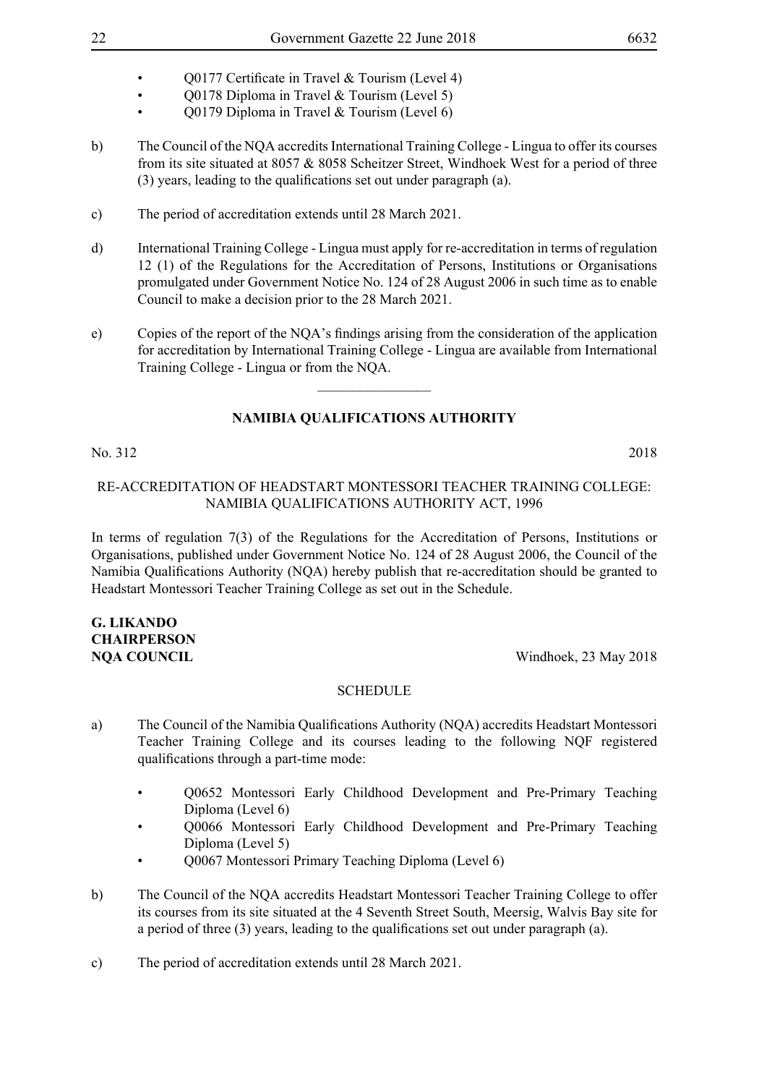- O0177 Certificate in Travel & Tourism (Level 4)
- Q0178 Diploma in Travel & Tourism (Level 5)
- Q0179 Diploma in Travel & Tourism (Level 6)
- b) The Council of the NQA accredits International Training College Lingua to offer its courses from its site situated at 8057 & 8058 Scheitzer Street, Windhoek West for a period of three (3) years, leading to the qualifications set out under paragraph (a).
- c) The period of accreditation extends until 28 March 2021.
- d) International Training College Lingua must apply for re-accreditation in terms of regulation 12 (1) of the Regulations for the Accreditation of Persons, Institutions or Organisations promulgated under Government Notice No. 124 of 28 August 2006 in such time as to enable Council to make a decision prior to the 28 March 2021.
- e) Copies of the report of the NQA's findings arising from the consideration of the application for accreditation by International Training College - Lingua are available from International Training College - Lingua or from the NQA.

 $\overline{\phantom{a}}$  , where  $\overline{\phantom{a}}$ 

#### **NAMIBIA QUALIFICATIONS AUTHORITY**

No. 312 2018

#### Re-Accreditation of Headstart Montessori Teacher Training College: Namibia Qualifications Authority Act, 1996

In terms of regulation 7(3) of the Regulations for the Accreditation of Persons, Institutions or Organisations, published under Government Notice No. 124 of 28 August 2006, the Council of the Namibia Qualifications Authority (NQA) hereby publish that re-accreditation should be granted to Headstart Montessori Teacher Training College as set out in the Schedule.

### **G. Likando Chairperson**

**NOA COUNCIL** Windhoek, 23 May 2018

- a) The Council of the Namibia Qualifications Authority (NQA) accredits Headstart Montessori Teacher Training College and its courses leading to the following NQF registered qualifications through a part-time mode:
	- Q0652 Montessori Early Childhood Development and Pre-Primary Teaching Diploma (Level 6)
	- Q0066 Montessori Early Childhood Development and Pre-Primary Teaching Diploma (Level 5)
	- Q0067 Montessori Primary Teaching Diploma (Level 6)
- b) The Council of the NQA accredits Headstart Montessori Teacher Training College to offer its courses from its site situated at the 4 Seventh Street South, Meersig, Walvis Bay site for a period of three (3) years, leading to the qualifications set out under paragraph (a).
- c) The period of accreditation extends until 28 March 2021.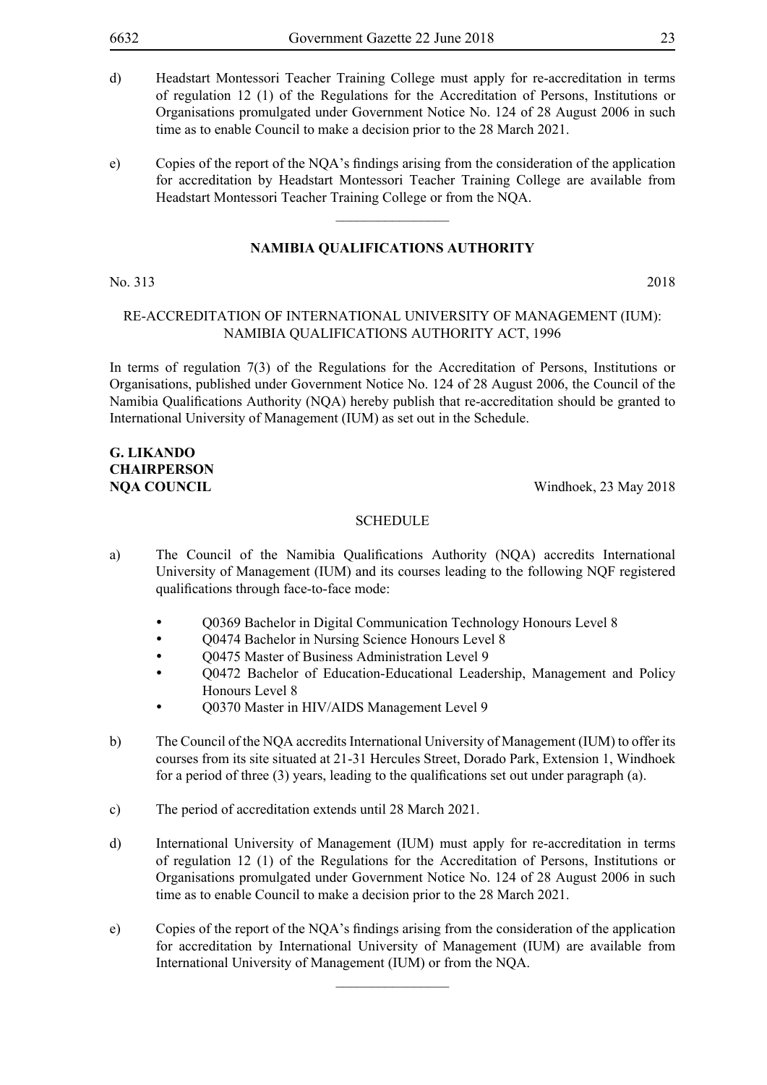- d) Headstart Montessori Teacher Training College must apply for re-accreditation in terms of regulation 12 (1) of the Regulations for the Accreditation of Persons, Institutions or Organisations promulgated under Government Notice No. 124 of 28 August 2006 in such time as to enable Council to make a decision prior to the 28 March 2021.
- e) Copies of the report of the NQA's findings arising from the consideration of the application for accreditation by Headstart Montessori Teacher Training College are available from Headstart Montessori Teacher Training College or from the NQA.

 $\overline{\phantom{a}}$  , where  $\overline{\phantom{a}}$ 

#### No. 313 2018

#### Re-Accreditation of International University of Management (IUM): Namibia Qualifications Authority Act, 1996

In terms of regulation 7(3) of the Regulations for the Accreditation of Persons, Institutions or Organisations, published under Government Notice No. 124 of 28 August 2006, the Council of the Namibia Qualifications Authority (NQA) hereby publish that re-accreditation should be granted to International University of Management (IUM) as set out in the Schedule.

### **G. Likando Chairperson**

**NQA COUNCIL** Windhoek, 23 May 2018

#### **SCHEDULE**

- a) The Council of the Namibia Qualifications Authority (NQA) accredits International University of Management (IUM) and its courses leading to the following NQF registered qualifications through face-to-face mode:
	- Q0369 Bachelor in Digital Communication Technology Honours Level 8
	- O0474 Bachelor in Nursing Science Honours Level 8
	- O0475 Master of Business Administration Level 9
	- O0472 Bachelor of Education-Educational Leadership, Management and Policy Honours Level 8
	- Q0370 Master in HIV/AIDS Management Level 9
- b) The Council of the NQA accredits International University of Management (IUM) to offer its courses from its site situated at 21-31 Hercules Street, Dorado Park, Extension 1, Windhoek for a period of three (3) years, leading to the qualifications set out under paragraph (a).
- c) The period of accreditation extends until 28 March 2021.
- d) International University of Management (IUM) must apply for re-accreditation in terms of regulation 12 (1) of the Regulations for the Accreditation of Persons, Institutions or Organisations promulgated under Government Notice No. 124 of 28 August 2006 in such time as to enable Council to make a decision prior to the 28 March 2021.
- e) Copies of the report of the NQA's findings arising from the consideration of the application for accreditation by International University of Management (IUM) are available from International University of Management (IUM) or from the NQA.

 $\frac{1}{2}$